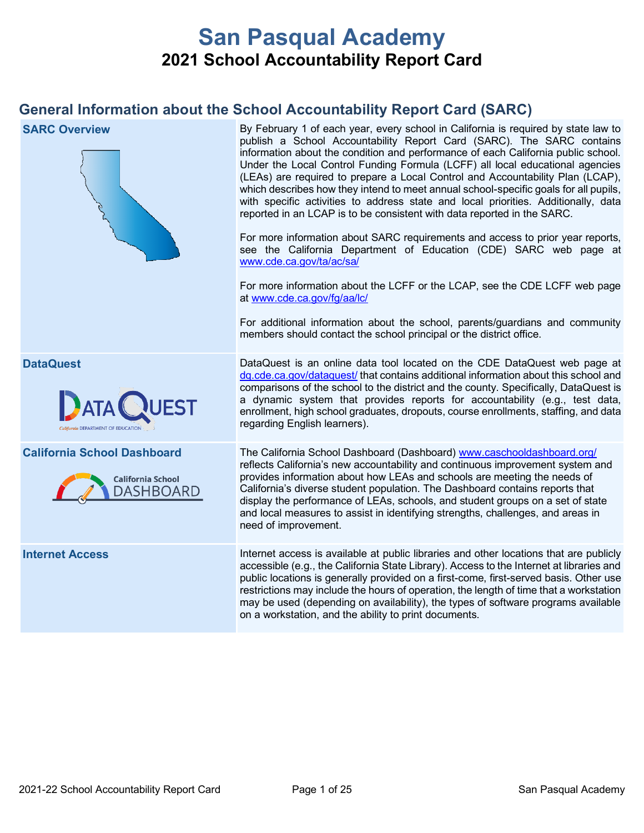# **San Pasqual Academy 2021 School Accountability Report Card**

## **General Information about the School Accountability Report Card (SARC)**

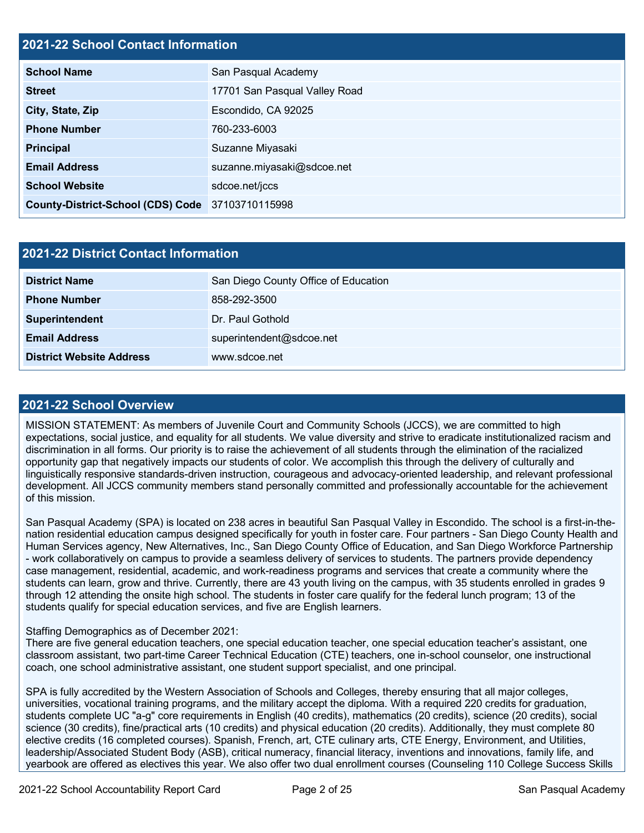## **2021-22 School Contact Information**

| <b>School Name</b>                               | San Pasqual Academy           |  |  |  |
|--------------------------------------------------|-------------------------------|--|--|--|
| <b>Street</b>                                    | 17701 San Pasqual Valley Road |  |  |  |
| City, State, Zip                                 | Escondido, CA 92025           |  |  |  |
| <b>Phone Number</b>                              | 760-233-6003                  |  |  |  |
| <b>Principal</b>                                 | Suzanne Miyasaki              |  |  |  |
| <b>Email Address</b>                             | suzanne.miyasaki@sdcoe.net    |  |  |  |
| <b>School Website</b>                            | sdcoe.net/jccs                |  |  |  |
| County-District-School (CDS) Code 37103710115998 |                               |  |  |  |

| 2021-22 District Contact Information |                                      |  |  |
|--------------------------------------|--------------------------------------|--|--|
| <b>District Name</b>                 | San Diego County Office of Education |  |  |
| <b>Phone Number</b>                  | 858-292-3500                         |  |  |
| Superintendent                       | Dr. Paul Gothold                     |  |  |
| <b>Email Address</b>                 | superintendent@sdcoe.net             |  |  |
| <b>District Website Address</b>      | www.sdcoe.net                        |  |  |

#### **2021-22 School Overview**

MISSION STATEMENT: As members of Juvenile Court and Community Schools (JCCS), we are committed to high expectations, social justice, and equality for all students. We value diversity and strive to eradicate institutionalized racism and discrimination in all forms. Our priority is to raise the achievement of all students through the elimination of the racialized opportunity gap that negatively impacts our students of color. We accomplish this through the delivery of culturally and linguistically responsive standards-driven instruction, courageous and advocacy-oriented leadership, and relevant professional development. All JCCS community members stand personally committed and professionally accountable for the achievement of this mission.

San Pasqual Academy (SPA) is located on 238 acres in beautiful San Pasqual Valley in Escondido. The school is a first-in-thenation residential education campus designed specifically for youth in foster care. Four partners - San Diego County Health and Human Services agency, New Alternatives, Inc., San Diego County Office of Education, and San Diego Workforce Partnership - work collaboratively on campus to provide a seamless delivery of services to students. The partners provide dependency case management, residential, academic, and work-readiness programs and services that create a community where the students can learn, grow and thrive. Currently, there are 43 youth living on the campus, with 35 students enrolled in grades 9 through 12 attending the onsite high school. The students in foster care qualify for the federal lunch program; 13 of the students qualify for special education services, and five are English learners.

#### Staffing Demographics as of December 2021:

There are five general education teachers, one special education teacher, one special education teacher's assistant, one classroom assistant, two part-time Career Technical Education (CTE) teachers, one in-school counselor, one instructional coach, one school administrative assistant, one student support specialist, and one principal.

SPA is fully accredited by the Western Association of Schools and Colleges, thereby ensuring that all major colleges, universities, vocational training programs, and the military accept the diploma. With a required 220 credits for graduation, students complete UC "a-g" core requirements in English (40 credits), mathematics (20 credits), science (20 credits), social science (30 credits), fine/practical arts (10 credits) and physical education (20 credits). Additionally, they must complete 80 elective credits (16 completed courses). Spanish, French, art, CTE culinary arts, CTE Energy, Environment, and Utilities, leadership/Associated Student Body (ASB), critical numeracy, financial literacy, inventions and innovations, family life, and yearbook are offered as electives this year. We also offer two dual enrollment courses (Counseling 110 College Success Skills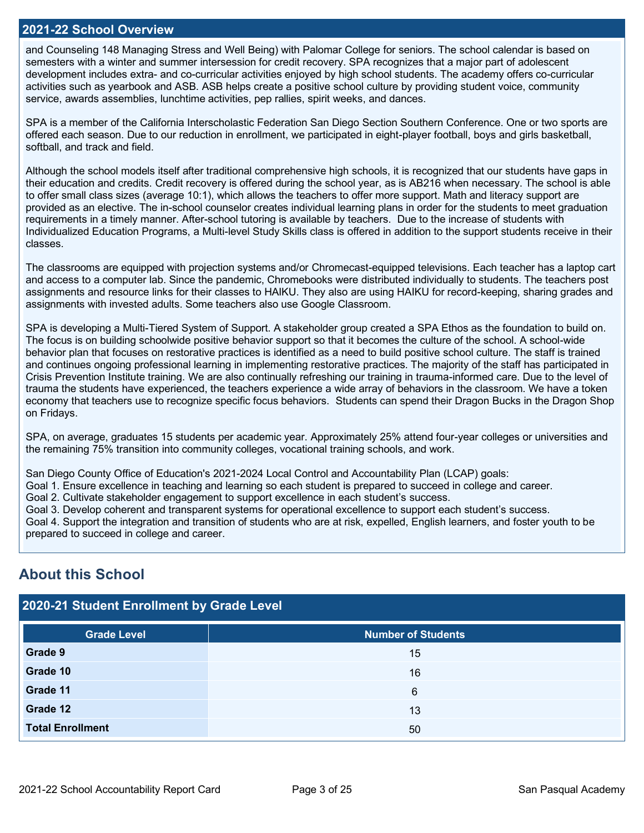#### **2021-22 School Overview**

and Counseling 148 Managing Stress and Well Being) with Palomar College for seniors. The school calendar is based on semesters with a winter and summer intersession for credit recovery. SPA recognizes that a major part of adolescent development includes extra- and co-curricular activities enjoyed by high school students. The academy offers co-curricular activities such as yearbook and ASB. ASB helps create a positive school culture by providing student voice, community service, awards assemblies, lunchtime activities, pep rallies, spirit weeks, and dances.

SPA is a member of the California Interscholastic Federation San Diego Section Southern Conference. One or two sports are offered each season. Due to our reduction in enrollment, we participated in eight-player football, boys and girls basketball, softball, and track and field.

Although the school models itself after traditional comprehensive high schools, it is recognized that our students have gaps in their education and credits. Credit recovery is offered during the school year, as is AB216 when necessary. The school is able to offer small class sizes (average 10:1), which allows the teachers to offer more support. Math and literacy support are provided as an elective. The in-school counselor creates individual learning plans in order for the students to meet graduation requirements in a timely manner. After-school tutoring is available by teachers. Due to the increase of students with Individualized Education Programs, a Multi-level Study Skills class is offered in addition to the support students receive in their classes.

The classrooms are equipped with projection systems and/or Chromecast-equipped televisions. Each teacher has a laptop cart and access to a computer lab. Since the pandemic, Chromebooks were distributed individually to students. The teachers post assignments and resource links for their classes to HAIKU. They also are using HAIKU for record-keeping, sharing grades and assignments with invested adults. Some teachers also use Google Classroom.

SPA is developing a Multi-Tiered System of Support. A stakeholder group created a SPA Ethos as the foundation to build on. The focus is on building schoolwide positive behavior support so that it becomes the culture of the school. A school-wide behavior plan that focuses on restorative practices is identified as a need to build positive school culture. The staff is trained and continues ongoing professional learning in implementing restorative practices. The majority of the staff has participated in Crisis Prevention Institute training. We are also continually refreshing our training in trauma-informed care. Due to the level of trauma the students have experienced, the teachers experience a wide array of behaviors in the classroom. We have a token economy that teachers use to recognize specific focus behaviors. Students can spend their Dragon Bucks in the Dragon Shop on Fridays.

SPA, on average, graduates 15 students per academic year. Approximately 25% attend four-year colleges or universities and the remaining 75% transition into community colleges, vocational training schools, and work.

San Diego County Office of Education's 2021-2024 Local Control and Accountability Plan (LCAP) goals:

Goal 1. Ensure excellence in teaching and learning so each student is prepared to succeed in college and career.

Goal 2. Cultivate stakeholder engagement to support excellence in each student's success.

Goal 3. Develop coherent and transparent systems for operational excellence to support each student's success.

Goal 4. Support the integration and transition of students who are at risk, expelled, English learners, and foster youth to be prepared to succeed in college and career.

## **About this School**

| 2020-21 Student Enrollment by Grade Level |                           |  |  |  |
|-------------------------------------------|---------------------------|--|--|--|
| <b>Grade Level</b>                        | <b>Number of Students</b> |  |  |  |
| Grade 9                                   | 15                        |  |  |  |
| Grade 10                                  | 16                        |  |  |  |
| Grade 11                                  | 6                         |  |  |  |
| Grade 12                                  | 13                        |  |  |  |
| <b>Total Enrollment</b>                   | 50                        |  |  |  |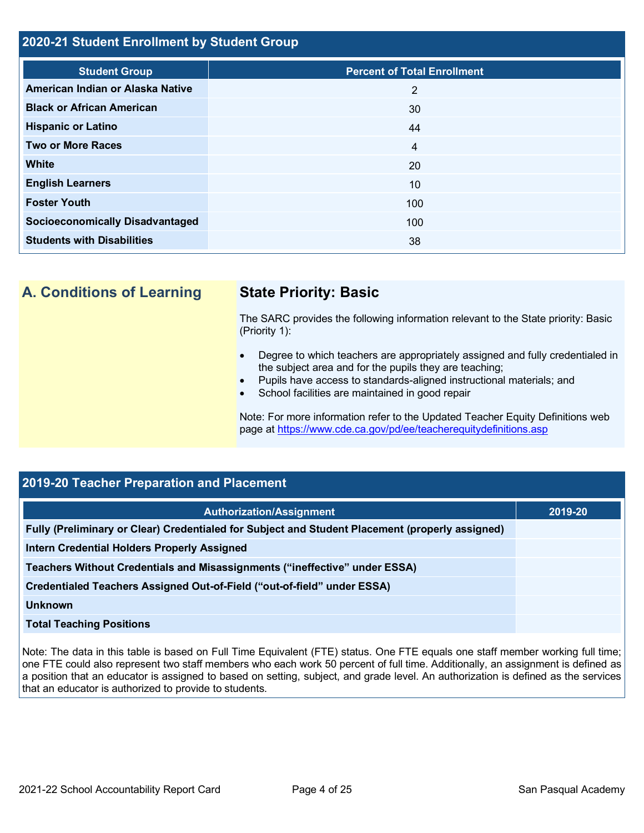## **2020-21 Student Enrollment by Student Group**

| <b>Student Group</b>                   | <b>Percent of Total Enrollment</b> |
|----------------------------------------|------------------------------------|
| American Indian or Alaska Native       | 2                                  |
| <b>Black or African American</b>       | 30                                 |
| <b>Hispanic or Latino</b>              | 44                                 |
| <b>Two or More Races</b>               | 4                                  |
| White                                  | 20                                 |
| <b>English Learners</b>                | 10                                 |
| <b>Foster Youth</b>                    | 100                                |
| <b>Socioeconomically Disadvantaged</b> | 100                                |
| <b>Students with Disabilities</b>      | 38                                 |

**A. Conditions of Learning State Priority: Basic**

The SARC provides the following information relevant to the State priority: Basic (Priority 1):

- Degree to which teachers are appropriately assigned and fully credentialed in the subject area and for the pupils they are teaching;
- Pupils have access to standards-aligned instructional materials; and
- School facilities are maintained in good repair

Note: For more information refer to the Updated Teacher Equity Definitions web page at<https://www.cde.ca.gov/pd/ee/teacherequitydefinitions.asp>

## **2019-20 Teacher Preparation and Placement**

| Authorization/Assignment                                                                        | 2019-20 |
|-------------------------------------------------------------------------------------------------|---------|
| Fully (Preliminary or Clear) Credentialed for Subject and Student Placement (properly assigned) |         |
| <b>Intern Credential Holders Properly Assigned</b>                                              |         |
| Teachers Without Credentials and Misassignments ("ineffective" under ESSA)                      |         |
| Credentialed Teachers Assigned Out-of-Field ("out-of-field" under ESSA)                         |         |
| <b>Unknown</b>                                                                                  |         |
| <b>Total Teaching Positions</b>                                                                 |         |

Note: The data in this table is based on Full Time Equivalent (FTE) status. One FTE equals one staff member working full time; one FTE could also represent two staff members who each work 50 percent of full time. Additionally, an assignment is defined as a position that an educator is assigned to based on setting, subject, and grade level. An authorization is defined as the services that an educator is authorized to provide to students.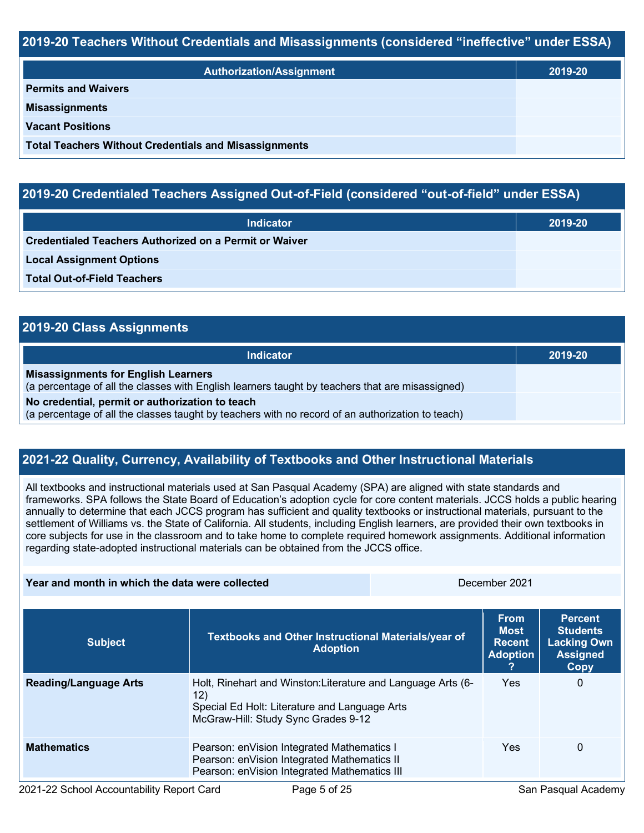## **2019-20 Teachers Without Credentials and Misassignments (considered "ineffective" under ESSA)**

| <b>Authorization/Assignment</b>                              | 2019-20 |
|--------------------------------------------------------------|---------|
| <b>Permits and Waivers</b>                                   |         |
| <b>Misassignments</b>                                        |         |
| <b>Vacant Positions</b>                                      |         |
| <b>Total Teachers Without Credentials and Misassignments</b> |         |

## **2019-20 Credentialed Teachers Assigned Out-of-Field (considered "out-of-field" under ESSA)**

| <b>Indicator</b>                                       | 2019-20 |
|--------------------------------------------------------|---------|
| Credentialed Teachers Authorized on a Permit or Waiver |         |
| <b>Local Assignment Options</b>                        |         |
| <b>Total Out-of-Field Teachers</b>                     |         |

| 2019-20 Class Assignments                                                                                                                           |         |  |  |  |
|-----------------------------------------------------------------------------------------------------------------------------------------------------|---------|--|--|--|
| Indicator                                                                                                                                           | 2019-20 |  |  |  |
| <b>Misassignments for English Learners</b><br>(a percentage of all the classes with English learners taught by teachers that are misassigned)       |         |  |  |  |
| No credential, permit or authorization to teach<br>(a percentage of all the classes taught by teachers with no record of an authorization to teach) |         |  |  |  |

## **2021-22 Quality, Currency, Availability of Textbooks and Other Instructional Materials**

**Year and month in which the data were collected** December 2021

All textbooks and instructional materials used at San Pasqual Academy (SPA) are aligned with state standards and frameworks. SPA follows the State Board of Education's adoption cycle for core content materials. JCCS holds a public hearing annually to determine that each JCCS program has sufficient and quality textbooks or instructional materials, pursuant to the settlement of Williams vs. the State of California. All students, including English learners, are provided their own textbooks in core subjects for use in the classroom and to take home to complete required homework assignments. Additional information regarding state-adopted instructional materials can be obtained from the JCCS office.

| <b>Subject</b>               | Textbooks and Other Instructional Materials/year of<br><b>Adoption</b>                                                                                      |  | <b>From</b><br><b>Most</b><br><b>Recent</b><br><b>Adoption</b> | <b>Percent</b><br><b>Students</b><br><b>Lacking Own</b><br><b>Assigned</b><br>Copy |  |
|------------------------------|-------------------------------------------------------------------------------------------------------------------------------------------------------------|--|----------------------------------------------------------------|------------------------------------------------------------------------------------|--|
| <b>Reading/Language Arts</b> | Holt, Rinehart and Winston: Literature and Language Arts (6-<br>12)<br>Special Ed Holt: Literature and Language Arts<br>McGraw-Hill: Study Sync Grades 9-12 |  | Yes                                                            | 0                                                                                  |  |
| <b>Mathematics</b>           | Pearson: enVision Integrated Mathematics I<br>Pearson: enVision Integrated Mathematics II<br>Pearson: enVision Integrated Mathematics III                   |  | <b>Yes</b>                                                     | 0                                                                                  |  |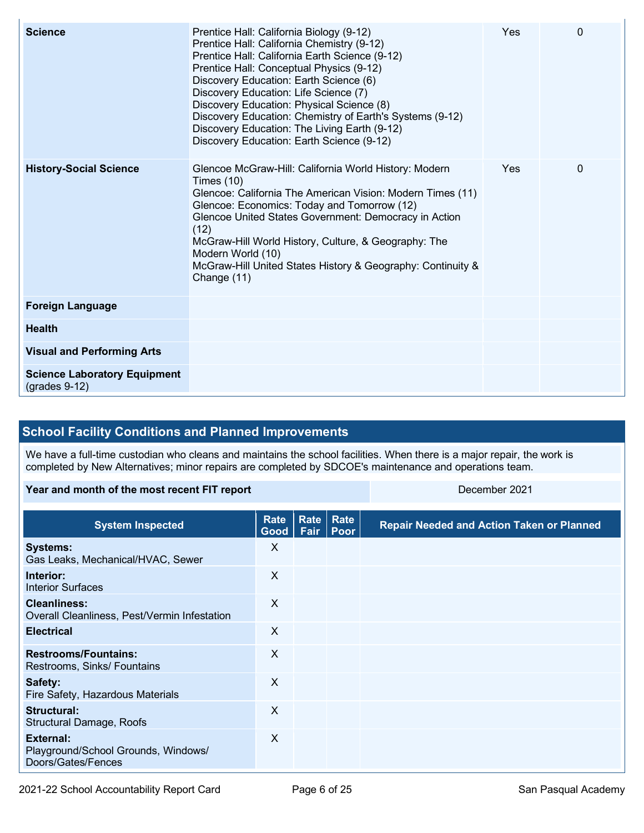| <b>Science</b>                                         | Prentice Hall: California Biology (9-12)<br>Prentice Hall: California Chemistry (9-12)<br>Prentice Hall: California Earth Science (9-12)<br>Prentice Hall: Conceptual Physics (9-12)<br>Discovery Education: Earth Science (6)<br>Discovery Education: Life Science (7)<br>Discovery Education: Physical Science (8)<br>Discovery Education: Chemistry of Earth's Systems (9-12)<br>Discovery Education: The Living Earth (9-12)<br>Discovery Education: Earth Science (9-12) | Yes | $\Omega$ |
|--------------------------------------------------------|-------------------------------------------------------------------------------------------------------------------------------------------------------------------------------------------------------------------------------------------------------------------------------------------------------------------------------------------------------------------------------------------------------------------------------------------------------------------------------|-----|----------|
| <b>History-Social Science</b>                          | Glencoe McGraw-Hill: California World History: Modern<br>Times $(10)$<br>Glencoe: California The American Vision: Modern Times (11)<br>Glencoe: Economics: Today and Tomorrow (12)<br>Glencoe United States Government: Democracy in Action<br>(12)<br>McGraw-Hill World History, Culture, & Geography: The<br>Modern World (10)<br>McGraw-Hill United States History & Geography: Continuity &<br>Change (11)                                                                | Yes | $\Omega$ |
| <b>Foreign Language</b>                                |                                                                                                                                                                                                                                                                                                                                                                                                                                                                               |     |          |
| <b>Health</b>                                          |                                                                                                                                                                                                                                                                                                                                                                                                                                                                               |     |          |
| <b>Visual and Performing Arts</b>                      |                                                                                                                                                                                                                                                                                                                                                                                                                                                                               |     |          |
| <b>Science Laboratory Equipment</b><br>$(grades 9-12)$ |                                                                                                                                                                                                                                                                                                                                                                                                                                                                               |     |          |

## **School Facility Conditions and Planned Improvements**

We have a full-time custodian who cleans and maintains the school facilities. When there is a major repair, the work is completed by New Alternatives; minor repairs are completed by SDCOE's maintenance and operations team.

| Year and month of the most recent FIT report                           |                         |  | December 2021              |                                                  |  |
|------------------------------------------------------------------------|-------------------------|--|----------------------------|--------------------------------------------------|--|
| <b>System Inspected</b>                                                | <b>Rate</b><br>Good $ $ |  | Rate   Rate<br>Fair   Poor | <b>Repair Needed and Action Taken or Planned</b> |  |
| <b>Systems:</b><br>Gas Leaks, Mechanical/HVAC, Sewer                   | X                       |  |                            |                                                  |  |
| Interior:<br><b>Interior Surfaces</b>                                  | X                       |  |                            |                                                  |  |
| <b>Cleanliness:</b><br>Overall Cleanliness, Pest/Vermin Infestation    | $\times$                |  |                            |                                                  |  |
| <b>Electrical</b>                                                      | X                       |  |                            |                                                  |  |
| <b>Restrooms/Fountains:</b><br>Restrooms, Sinks/ Fountains             | $\times$                |  |                            |                                                  |  |
| Safety:<br>Fire Safety, Hazardous Materials                            | $\times$                |  |                            |                                                  |  |
| Structural:<br><b>Structural Damage, Roofs</b>                         | $\times$                |  |                            |                                                  |  |
| External:<br>Playground/School Grounds, Windows/<br>Doors/Gates/Fences | $\times$                |  |                            |                                                  |  |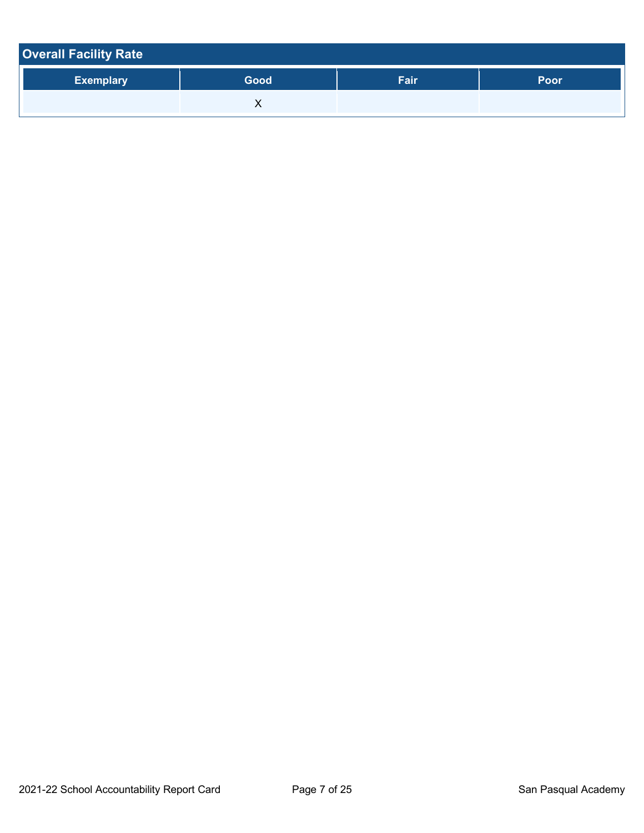| <b>Overall Facility Rate</b> |      |      |             |  |  |
|------------------------------|------|------|-------------|--|--|
| <b>Exemplary</b>             | Good | Fair | <b>Poor</b> |  |  |
|                              |      |      |             |  |  |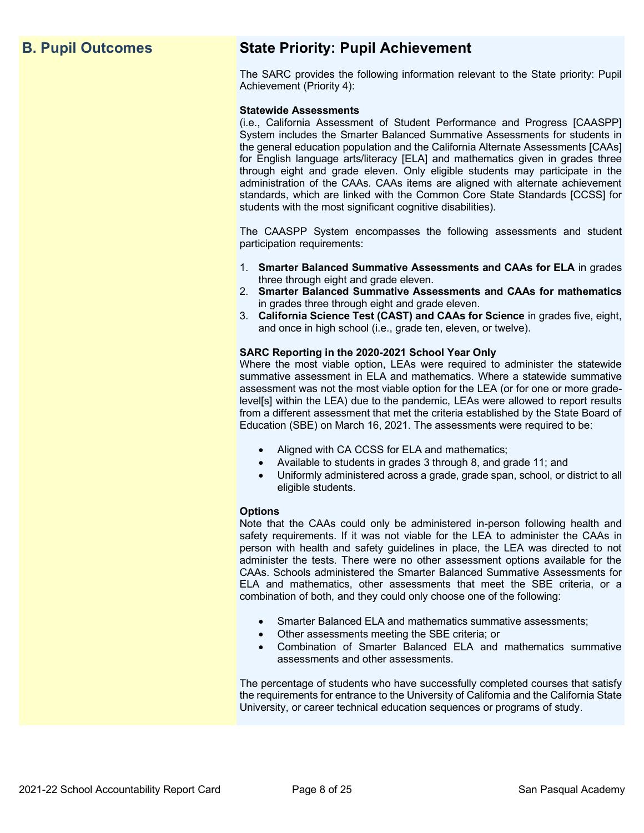## **B. Pupil Outcomes State Priority: Pupil Achievement**

The SARC provides the following information relevant to the State priority: Pupil Achievement (Priority 4):

#### **Statewide Assessments**

(i.e., California Assessment of Student Performance and Progress [CAASPP] System includes the Smarter Balanced Summative Assessments for students in the general education population and the California Alternate Assessments [CAAs] for English language arts/literacy [ELA] and mathematics given in grades three through eight and grade eleven. Only eligible students may participate in the administration of the CAAs. CAAs items are aligned with alternate achievement standards, which are linked with the Common Core State Standards [CCSS] for students with the most significant cognitive disabilities).

The CAASPP System encompasses the following assessments and student participation requirements:

- 1. **Smarter Balanced Summative Assessments and CAAs for ELA** in grades three through eight and grade eleven.
- 2. **Smarter Balanced Summative Assessments and CAAs for mathematics** in grades three through eight and grade eleven.
- 3. **California Science Test (CAST) and CAAs for Science** in grades five, eight, and once in high school (i.e., grade ten, eleven, or twelve).

#### **SARC Reporting in the 2020-2021 School Year Only**

Where the most viable option, LEAs were required to administer the statewide summative assessment in ELA and mathematics. Where a statewide summative assessment was not the most viable option for the LEA (or for one or more gradelevel[s] within the LEA) due to the pandemic, LEAs were allowed to report results from a different assessment that met the criteria established by the State Board of Education (SBE) on March 16, 2021. The assessments were required to be:

- Aligned with CA CCSS for ELA and mathematics;
- Available to students in grades 3 through 8, and grade 11; and
- Uniformly administered across a grade, grade span, school, or district to all eligible students.

#### **Options**

Note that the CAAs could only be administered in-person following health and safety requirements. If it was not viable for the LEA to administer the CAAs in person with health and safety guidelines in place, the LEA was directed to not administer the tests. There were no other assessment options available for the CAAs. Schools administered the Smarter Balanced Summative Assessments for ELA and mathematics, other assessments that meet the SBE criteria, or a combination of both, and they could only choose one of the following:

- Smarter Balanced ELA and mathematics summative assessments;
- Other assessments meeting the SBE criteria; or
- Combination of Smarter Balanced ELA and mathematics summative assessments and other assessments.

The percentage of students who have successfully completed courses that satisfy the requirements for entrance to the University of California and the California State University, or career technical education sequences or programs of study.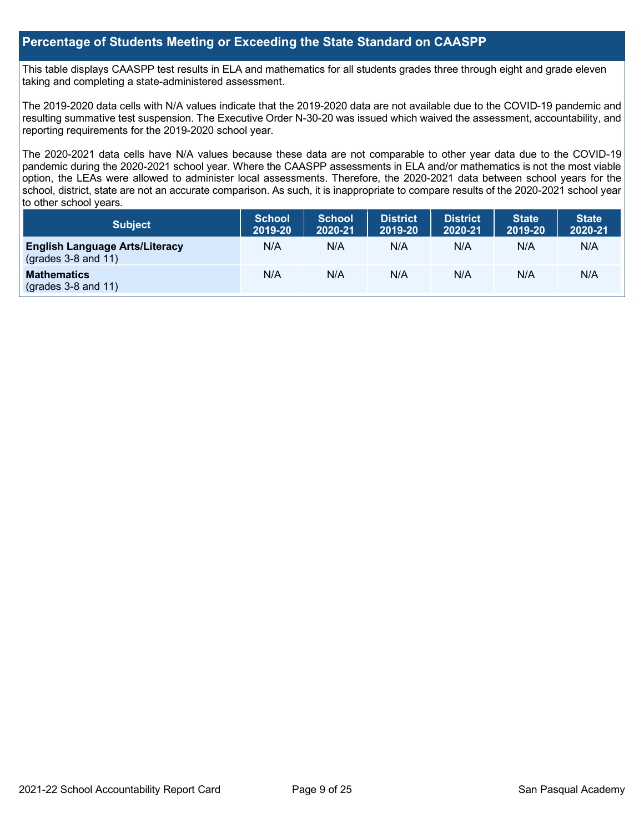## **Percentage of Students Meeting or Exceeding the State Standard on CAASPP**

This table displays CAASPP test results in ELA and mathematics for all students grades three through eight and grade eleven taking and completing a state-administered assessment.

The 2019-2020 data cells with N/A values indicate that the 2019-2020 data are not available due to the COVID-19 pandemic and resulting summative test suspension. The Executive Order N-30-20 was issued which waived the assessment, accountability, and reporting requirements for the 2019-2020 school year.

The 2020-2021 data cells have N/A values because these data are not comparable to other year data due to the COVID-19 pandemic during the 2020-2021 school year. Where the CAASPP assessments in ELA and/or mathematics is not the most viable option, the LEAs were allowed to administer local assessments. Therefore, the 2020-2021 data between school years for the school, district, state are not an accurate comparison. As such, it is inappropriate to compare results of the 2020-2021 school year to other school years.

| Subject                                                        | <b>School</b><br>2019-20 | <b>School</b><br>2020-21 | <b>District</b><br>2019-20 | <b>District</b><br>2020-21 | <b>State</b><br>2019-20 | <b>State</b><br>2020-21 |
|----------------------------------------------------------------|--------------------------|--------------------------|----------------------------|----------------------------|-------------------------|-------------------------|
| <b>English Language Arts/Literacy</b><br>$(grades 3-8 and 11)$ | N/A                      | N/A                      | N/A                        | N/A                        | N/A                     | N/A                     |
| <b>Mathematics</b><br>$(grades 3-8 and 11)$                    | N/A                      | N/A                      | N/A                        | N/A                        | N/A                     | N/A                     |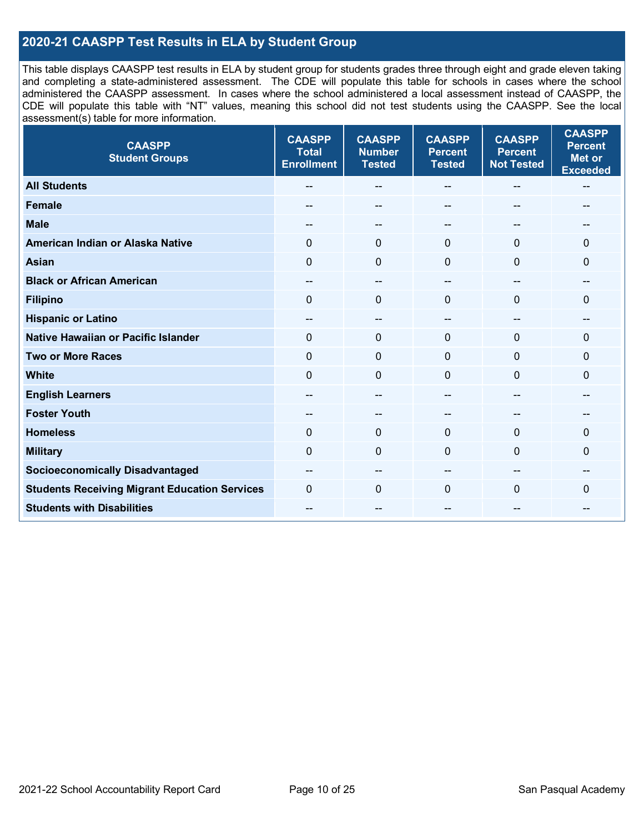## **2020-21 CAASPP Test Results in ELA by Student Group**

This table displays CAASPP test results in ELA by student group for students grades three through eight and grade eleven taking and completing a state-administered assessment. The CDE will populate this table for schools in cases where the school administered the CAASPP assessment. In cases where the school administered a local assessment instead of CAASPP, the CDE will populate this table with "NT" values, meaning this school did not test students using the CAASPP. See the local assessment(s) table for more information.

| <b>CAASPP</b><br><b>Student Groups</b>               | <b>CAASPP</b><br><b>Total</b><br><b>Enrollment</b> | <b>CAASPP</b><br><b>Number</b><br><b>Tested</b> | <b>CAASPP</b><br><b>Percent</b><br><b>Tested</b> | <b>CAASPP</b><br><b>Percent</b><br><b>Not Tested</b> | <b>CAASPP</b><br><b>Percent</b><br><b>Met or</b><br><b>Exceeded</b> |
|------------------------------------------------------|----------------------------------------------------|-------------------------------------------------|--------------------------------------------------|------------------------------------------------------|---------------------------------------------------------------------|
| <b>All Students</b>                                  |                                                    | --                                              | --                                               | --                                                   | --                                                                  |
| <b>Female</b>                                        |                                                    | --                                              |                                                  |                                                      |                                                                     |
| <b>Male</b>                                          | $- -$                                              | $\sim$                                          | $-$                                              | $-$                                                  | --                                                                  |
| American Indian or Alaska Native                     | 0                                                  | $\pmb{0}$                                       | $\mathbf 0$                                      | $\mathbf 0$                                          | 0                                                                   |
| <b>Asian</b>                                         | $\mathbf{0}$                                       | $\overline{0}$                                  | $\mathbf{0}$                                     | $\mathbf 0$                                          | $\mathbf{0}$                                                        |
| <b>Black or African American</b>                     | --                                                 | --                                              | $\overline{a}$                                   | $\overline{\phantom{a}}$                             | --                                                                  |
| <b>Filipino</b>                                      | $\mathbf{0}$                                       | $\mathbf 0$                                     | 0                                                | $\Omega$                                             | $\Omega$                                                            |
| <b>Hispanic or Latino</b>                            | $- -$                                              | $\overline{\phantom{a}}$                        | $-$                                              | $\hspace{0.05cm}$ – $\hspace{0.05cm}$                | --                                                                  |
| Native Hawaiian or Pacific Islander                  | $\mathbf{0}$                                       | $\mathbf 0$                                     | $\mathbf{0}$                                     | $\mathbf 0$                                          | $\mathbf{0}$                                                        |
| <b>Two or More Races</b>                             | $\mathbf 0$                                        | $\mathbf 0$                                     | $\mathbf{0}$                                     | $\mathbf 0$                                          | $\mathbf 0$                                                         |
| <b>White</b>                                         | $\mathbf{0}$                                       | $\mathbf 0$                                     | $\mathbf{0}$                                     | $\Omega$                                             | 0                                                                   |
| <b>English Learners</b>                              |                                                    | --                                              |                                                  |                                                      | --                                                                  |
| <b>Foster Youth</b>                                  | $\qquad \qquad$                                    | $\qquad \qquad \cdots$                          | $-$                                              | $\hspace{0.05cm}$ – $\hspace{0.05cm}$                | --                                                                  |
| <b>Homeless</b>                                      | $\overline{0}$                                     | $\mathbf 0$                                     | $\mathbf 0$                                      | $\mathbf 0$                                          | $\Omega$                                                            |
| <b>Military</b>                                      | $\mathbf 0$                                        | $\mathbf 0$                                     | $\mathbf 0$                                      | $\mathbf 0$                                          | $\mathbf{0}$                                                        |
| <b>Socioeconomically Disadvantaged</b>               | --                                                 | --                                              | --                                               | --                                                   |                                                                     |
| <b>Students Receiving Migrant Education Services</b> | $\Omega$                                           | $\Omega$                                        | $\Omega$                                         | $\mathbf{0}$                                         | $\Omega$                                                            |
| <b>Students with Disabilities</b>                    | $- -$                                              | --                                              | --                                               | --                                                   | --                                                                  |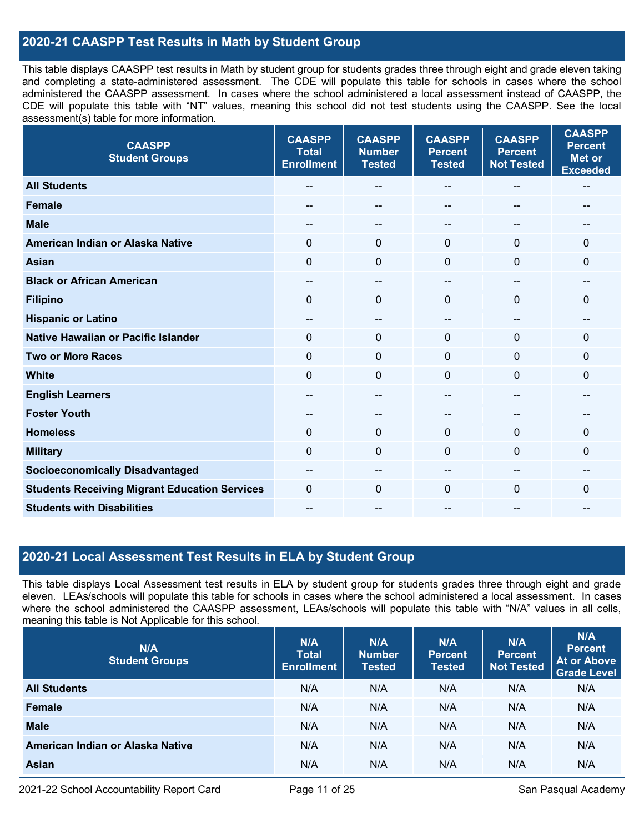## **2020-21 CAASPP Test Results in Math by Student Group**

This table displays CAASPP test results in Math by student group for students grades three through eight and grade eleven taking and completing a state-administered assessment. The CDE will populate this table for schools in cases where the school administered the CAASPP assessment. In cases where the school administered a local assessment instead of CAASPP, the CDE will populate this table with "NT" values, meaning this school did not test students using the CAASPP. See the local assessment(s) table for more information.

| <b>CAASPP</b><br><b>Student Groups</b>               | <b>CAASPP</b><br><b>Total</b><br><b>Enrollment</b> | <b>CAASPP</b><br><b>Number</b><br><b>Tested</b> | <b>CAASPP</b><br><b>Percent</b><br><b>Tested</b> | <b>CAASPP</b><br><b>Percent</b><br><b>Not Tested</b> | <b>CAASPP</b><br><b>Percent</b><br><b>Met or</b><br><b>Exceeded</b> |
|------------------------------------------------------|----------------------------------------------------|-------------------------------------------------|--------------------------------------------------|------------------------------------------------------|---------------------------------------------------------------------|
| <b>All Students</b>                                  |                                                    | $\sim$                                          | --                                               | --                                                   | $\hspace{0.05cm}$                                                   |
| <b>Female</b>                                        |                                                    | --                                              |                                                  | $-$                                                  |                                                                     |
| <b>Male</b>                                          | --                                                 | --                                              | --                                               | --                                                   | --                                                                  |
| American Indian or Alaska Native                     | $\mathbf 0$                                        | $\mathbf 0$                                     | $\mathbf{0}$                                     | $\Omega$                                             | $\mathbf{0}$                                                        |
| <b>Asian</b>                                         | $\mathbf 0$                                        | 0                                               | $\mathbf{0}$                                     | 0                                                    | $\mathbf 0$                                                         |
| <b>Black or African American</b>                     | $\sim$                                             | $\sim$                                          | $\overline{\phantom{a}}$                         | $-$                                                  | $\sim$                                                              |
| <b>Filipino</b>                                      | $\mathbf 0$                                        | $\mathbf 0$                                     | $\mathbf{0}$                                     | 0                                                    | $\mathbf 0$                                                         |
| <b>Hispanic or Latino</b>                            | --                                                 | $\overline{a}$                                  | $-$                                              | --                                                   | --                                                                  |
| <b>Native Hawaiian or Pacific Islander</b>           | $\mathbf 0$                                        | $\mathbf 0$                                     | $\mathbf 0$                                      | $\Omega$                                             | $\mathbf 0$                                                         |
| <b>Two or More Races</b>                             | $\mathbf 0$                                        | $\mathbf 0$                                     | $\mathbf 0$                                      | 0                                                    | $\mathbf 0$                                                         |
| <b>White</b>                                         | $\mathbf 0$                                        | $\Omega$                                        | $\Omega$                                         | $\Omega$                                             | $\mathbf 0$                                                         |
| <b>English Learners</b>                              |                                                    | --                                              | --                                               | --                                                   |                                                                     |
| <b>Foster Youth</b>                                  | --                                                 | --                                              | --                                               |                                                      | --                                                                  |
| <b>Homeless</b>                                      | $\mathbf 0$                                        | $\mathbf 0$                                     | $\mathbf 0$                                      | 0                                                    | $\mathbf 0$                                                         |
| <b>Military</b>                                      | $\mathbf 0$                                        | $\mathbf 0$                                     | $\mathbf 0$                                      | 0                                                    | $\mathbf 0$                                                         |
| <b>Socioeconomically Disadvantaged</b>               | $\overline{\phantom{m}}$                           | $\overline{\phantom{a}}$                        | $\overline{\phantom{m}}$                         | $-$                                                  | $\hspace{0.05cm}$                                                   |
| <b>Students Receiving Migrant Education Services</b> | $\mathbf 0$                                        | $\mathbf 0$                                     | $\mathbf{0}$                                     | 0                                                    | $\mathbf 0$                                                         |
| <b>Students with Disabilities</b>                    |                                                    | --                                              |                                                  | --                                                   | --                                                                  |

## **2020-21 Local Assessment Test Results in ELA by Student Group**

This table displays Local Assessment test results in ELA by student group for students grades three through eight and grade eleven. LEAs/schools will populate this table for schools in cases where the school administered a local assessment. In cases where the school administered the CAASPP assessment, LEAs/schools will populate this table with "N/A" values in all cells, meaning this table is Not Applicable for this school.

| N/A<br><b>Student Groups</b>     | N/A<br><b>Total</b><br><b>Enrollment</b> | N/A<br><b>Number</b><br><b>Tested</b> | N/A<br><b>Percent</b><br><b>Tested</b> | N/A<br>Percent<br><b>Not Tested</b> | N/A<br><b>Percent</b><br><b>At or Above</b><br><b>Grade Level</b> |
|----------------------------------|------------------------------------------|---------------------------------------|----------------------------------------|-------------------------------------|-------------------------------------------------------------------|
| <b>All Students</b>              | N/A                                      | N/A                                   | N/A                                    | N/A                                 | N/A                                                               |
| Female                           | N/A                                      | N/A                                   | N/A                                    | N/A                                 | N/A                                                               |
| <b>Male</b>                      | N/A                                      | N/A                                   | N/A                                    | N/A                                 | N/A                                                               |
| American Indian or Alaska Native | N/A                                      | N/A                                   | N/A                                    | N/A                                 | N/A                                                               |
| Asian                            | N/A                                      | N/A                                   | N/A                                    | N/A                                 | N/A                                                               |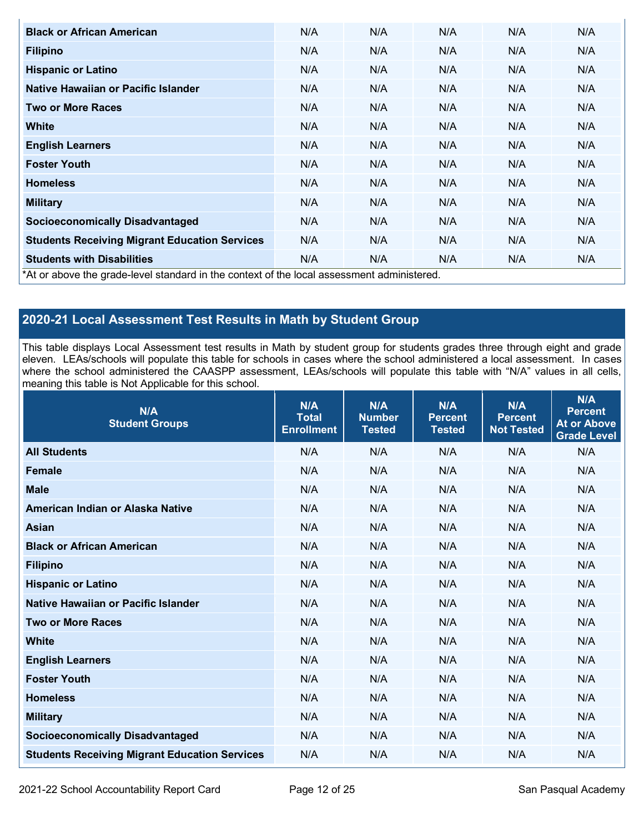| <b>Black or African American</b>                                                         | N/A | N/A | N/A | N/A | N/A |  |  |  |
|------------------------------------------------------------------------------------------|-----|-----|-----|-----|-----|--|--|--|
| <b>Filipino</b>                                                                          | N/A | N/A | N/A | N/A | N/A |  |  |  |
| <b>Hispanic or Latino</b>                                                                | N/A | N/A | N/A | N/A | N/A |  |  |  |
| Native Hawaiian or Pacific Islander                                                      | N/A | N/A | N/A | N/A | N/A |  |  |  |
| <b>Two or More Races</b>                                                                 | N/A | N/A | N/A | N/A | N/A |  |  |  |
| <b>White</b>                                                                             | N/A | N/A | N/A | N/A | N/A |  |  |  |
| <b>English Learners</b>                                                                  | N/A | N/A | N/A | N/A | N/A |  |  |  |
| <b>Foster Youth</b>                                                                      | N/A | N/A | N/A | N/A | N/A |  |  |  |
| <b>Homeless</b>                                                                          | N/A | N/A | N/A | N/A | N/A |  |  |  |
| <b>Military</b>                                                                          | N/A | N/A | N/A | N/A | N/A |  |  |  |
| <b>Socioeconomically Disadvantaged</b>                                                   | N/A | N/A | N/A | N/A | N/A |  |  |  |
| <b>Students Receiving Migrant Education Services</b>                                     | N/A | N/A | N/A | N/A | N/A |  |  |  |
| <b>Students with Disabilities</b>                                                        | N/A | N/A | N/A | N/A | N/A |  |  |  |
| At or above the grade-level standard in the context of the local assessment administered |     |     |     |     |     |  |  |  |

\*At or above the grade-level standard in the context of the local assessment administered.

## **2020-21 Local Assessment Test Results in Math by Student Group**

This table displays Local Assessment test results in Math by student group for students grades three through eight and grade eleven. LEAs/schools will populate this table for schools in cases where the school administered a local assessment. In cases where the school administered the CAASPP assessment, LEAs/schools will populate this table with "N/A" values in all cells, meaning this table is Not Applicable for this school.

| N/A<br><b>Student Groups</b>                         | N/A<br><b>Total</b><br><b>Enrollment</b> | N/A<br><b>Number</b><br><b>Tested</b> | <b>N/A</b><br><b>Percent</b><br><b>Tested</b> | N/A<br><b>Percent</b><br><b>Not Tested</b> | <b>N/A</b><br><b>Percent</b><br><b>At or Above</b><br><b>Grade Level</b> |
|------------------------------------------------------|------------------------------------------|---------------------------------------|-----------------------------------------------|--------------------------------------------|--------------------------------------------------------------------------|
| <b>All Students</b>                                  | N/A                                      | N/A                                   | N/A                                           | N/A                                        | N/A                                                                      |
| <b>Female</b>                                        | N/A                                      | N/A                                   | N/A                                           | N/A                                        | N/A                                                                      |
| <b>Male</b>                                          | N/A                                      | N/A                                   | N/A                                           | N/A                                        | N/A                                                                      |
| American Indian or Alaska Native                     | N/A                                      | N/A                                   | N/A                                           | N/A                                        | N/A                                                                      |
| <b>Asian</b>                                         | N/A                                      | N/A                                   | N/A                                           | N/A                                        | N/A                                                                      |
| <b>Black or African American</b>                     | N/A                                      | N/A                                   | N/A                                           | N/A                                        | N/A                                                                      |
| <b>Filipino</b>                                      | N/A                                      | N/A                                   | N/A                                           | N/A                                        | N/A                                                                      |
| <b>Hispanic or Latino</b>                            | N/A                                      | N/A                                   | N/A                                           | N/A                                        | N/A                                                                      |
| Native Hawaiian or Pacific Islander                  | N/A                                      | N/A                                   | N/A                                           | N/A                                        | N/A                                                                      |
| <b>Two or More Races</b>                             | N/A                                      | N/A                                   | N/A                                           | N/A                                        | N/A                                                                      |
| <b>White</b>                                         | N/A                                      | N/A                                   | N/A                                           | N/A                                        | N/A                                                                      |
| <b>English Learners</b>                              | N/A                                      | N/A                                   | N/A                                           | N/A                                        | N/A                                                                      |
| <b>Foster Youth</b>                                  | N/A                                      | N/A                                   | N/A                                           | N/A                                        | N/A                                                                      |
| <b>Homeless</b>                                      | N/A                                      | N/A                                   | N/A                                           | N/A                                        | N/A                                                                      |
| <b>Military</b>                                      | N/A                                      | N/A                                   | N/A                                           | N/A                                        | N/A                                                                      |
| <b>Socioeconomically Disadvantaged</b>               | N/A                                      | N/A                                   | N/A                                           | N/A                                        | N/A                                                                      |
| <b>Students Receiving Migrant Education Services</b> | N/A                                      | N/A                                   | N/A                                           | N/A                                        | N/A                                                                      |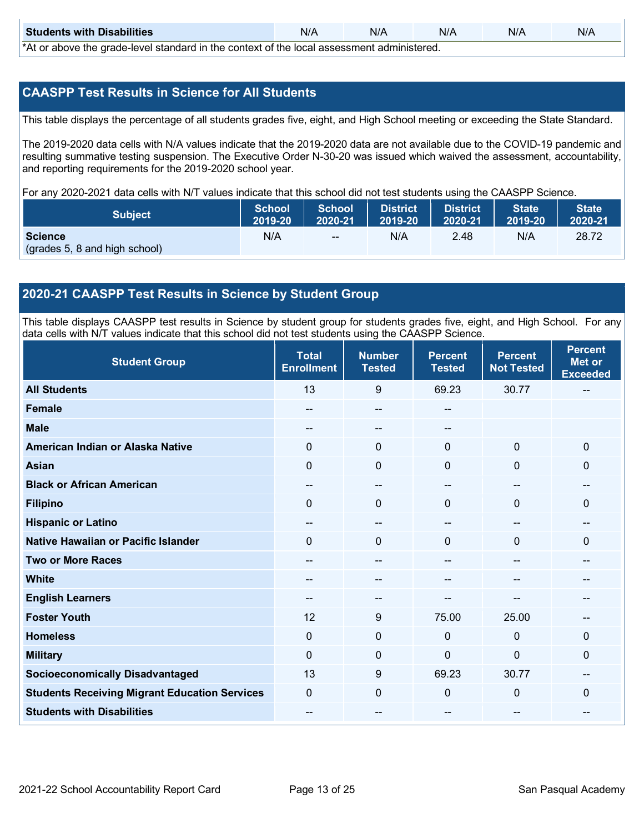| <b>Students with Disabilities</b> | N/A | N/A | N/A | N/A | N/A |  |
|-----------------------------------|-----|-----|-----|-----|-----|--|
|                                   |     |     |     |     |     |  |

\*At or above the grade-level standard in the context of the local assessment administered.

## **CAASPP Test Results in Science for All Students**

This table displays the percentage of all students grades five, eight, and High School meeting or exceeding the State Standard.

The 2019-2020 data cells with N/A values indicate that the 2019-2020 data are not available due to the COVID-19 pandemic and resulting summative testing suspension. The Executive Order N-30-20 was issued which waived the assessment, accountability, and reporting requirements for the 2019-2020 school year.

For any 2020-2021 data cells with N/T values indicate that this school did not test students using the CAASPP Science.

| <b>Subject</b>                                  | <b>School</b> | <b>School</b> | <b>District</b> | <b>District</b> | <b>State</b> | <b>State</b> |
|-------------------------------------------------|---------------|---------------|-----------------|-----------------|--------------|--------------|
|                                                 | 2019-20       | 2020-21       | 12019-20        | $12020 - 21$    | 2019-20      | 2020-21      |
| <b>Science</b><br>(grades 5, 8 and high school) | N/A           | $\sim$ $\sim$ | N/A             | 2.48            | N/A          | 28.72        |

## **2020-21 CAASPP Test Results in Science by Student Group**

This table displays CAASPP test results in Science by student group for students grades five, eight, and High School. For any data cells with N/T values indicate that this school did not test students using the CAASPP Science.

| <b>Student Group</b>                                 | <b>Total</b><br><b>Enrollment</b> | <b>Number</b><br><b>Tested</b>        | <b>Percent</b><br><b>Tested</b> | <b>Percent</b><br><b>Not Tested</b> | <b>Percent</b><br><b>Met or</b><br><b>Exceeded</b> |
|------------------------------------------------------|-----------------------------------|---------------------------------------|---------------------------------|-------------------------------------|----------------------------------------------------|
| <b>All Students</b>                                  | 13                                | 9                                     | 69.23                           | 30.77                               |                                                    |
| <b>Female</b>                                        | --                                | $\hspace{0.05cm}$ – $\hspace{0.05cm}$ | --                              |                                     |                                                    |
| <b>Male</b>                                          |                                   | --                                    | --                              |                                     |                                                    |
| American Indian or Alaska Native                     | 0                                 | $\mathbf 0$                           | $\mathbf{0}$                    | $\mathbf 0$                         | $\mathbf 0$                                        |
| <b>Asian</b>                                         | 0                                 | $\mathbf 0$                           | $\mathbf{0}$                    | $\mathbf{0}$                        | $\Omega$                                           |
| <b>Black or African American</b>                     |                                   | --                                    |                                 | --                                  | --                                                 |
| <b>Filipino</b>                                      | 0                                 | $\mathbf 0$                           | $\mathbf{0}$                    | $\Omega$                            | $\Omega$                                           |
| <b>Hispanic or Latino</b>                            |                                   | --                                    |                                 | --                                  | $\qquad \qquad$                                    |
| Native Hawaiian or Pacific Islander                  | $\Omega$                          | $\mathbf{0}$                          | $\Omega$                        | $\Omega$                            | $\Omega$                                           |
| <b>Two or More Races</b>                             |                                   | --                                    |                                 | --                                  | --                                                 |
| <b>White</b>                                         |                                   | --                                    |                                 |                                     |                                                    |
| <b>English Learners</b>                              | --                                | --                                    |                                 | --                                  | --                                                 |
| <b>Foster Youth</b>                                  | 12                                | 9                                     | 75.00                           | 25.00                               |                                                    |
| <b>Homeless</b>                                      | 0                                 | $\mathbf 0$                           | $\mathbf{0}$                    | $\mathbf 0$                         | $\Omega$                                           |
| <b>Military</b>                                      | 0                                 | $\mathbf 0$                           | $\Omega$                        | 0                                   | 0                                                  |
| <b>Socioeconomically Disadvantaged</b>               | 13                                | 9                                     | 69.23                           | 30.77                               | $\overline{\phantom{m}}$                           |
| <b>Students Receiving Migrant Education Services</b> | 0                                 | $\mathbf 0$                           | $\mathbf{0}$                    | $\mathbf 0$                         | $\Omega$                                           |
| <b>Students with Disabilities</b>                    |                                   | --                                    |                                 | --                                  | --                                                 |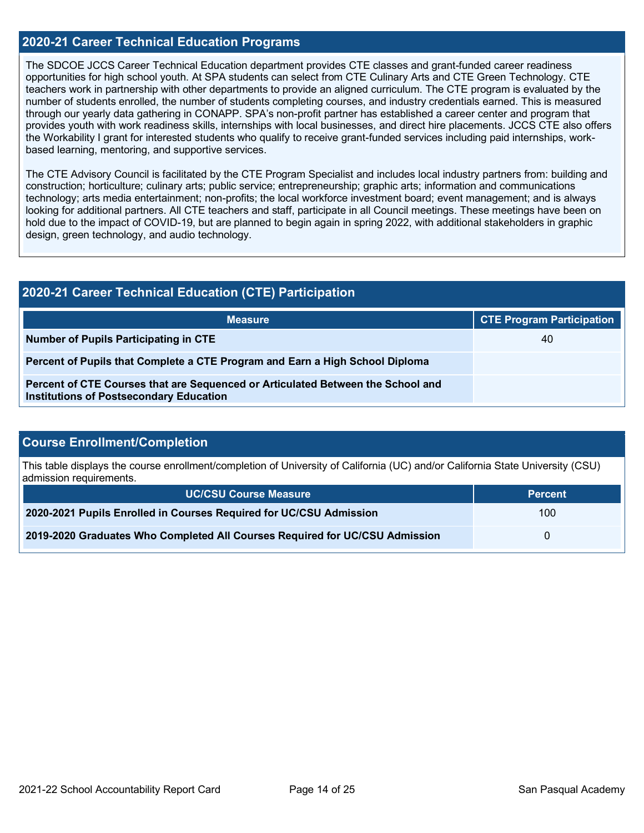### **2020-21 Career Technical Education Programs**

The SDCOE JCCS Career Technical Education department provides CTE classes and grant-funded career readiness opportunities for high school youth. At SPA students can select from CTE Culinary Arts and CTE Green Technology. CTE teachers work in partnership with other departments to provide an aligned curriculum. The CTE program is evaluated by the number of students enrolled, the number of students completing courses, and industry credentials earned. This is measured through our yearly data gathering in CONAPP. SPA's non-profit partner has established a career center and program that provides youth with work readiness skills, internships with local businesses, and direct hire placements. JCCS CTE also offers the Workability I grant for interested students who qualify to receive grant-funded services including paid internships, workbased learning, mentoring, and supportive services.

The CTE Advisory Council is facilitated by the CTE Program Specialist and includes local industry partners from: building and construction; horticulture; culinary arts; public service; entrepreneurship; graphic arts; information and communications technology; arts media entertainment; non-profits; the local workforce investment board; event management; and is always looking for additional partners. All CTE teachers and staff, participate in all Council meetings. These meetings have been on hold due to the impact of COVID-19, but are planned to begin again in spring 2022, with additional stakeholders in graphic design, green technology, and audio technology.

| 2020-21 Career Technical Education (CTE) Participation                                                                            |                                  |  |  |  |
|-----------------------------------------------------------------------------------------------------------------------------------|----------------------------------|--|--|--|
| <b>Measure</b>                                                                                                                    | <b>CTE Program Participation</b> |  |  |  |
| <b>Number of Pupils Participating in CTE</b>                                                                                      | 40                               |  |  |  |
| Percent of Pupils that Complete a CTE Program and Earn a High School Diploma                                                      |                                  |  |  |  |
| Percent of CTE Courses that are Sequenced or Articulated Between the School and<br><b>Institutions of Postsecondary Education</b> |                                  |  |  |  |

### **Course Enrollment/Completion**

This table displays the course enrollment/completion of University of California (UC) and/or California State University (CSU) admission requirements.

| <b>UC/CSU Course Measure</b>                                                | <b>Percent</b> |
|-----------------------------------------------------------------------------|----------------|
| 2020-2021 Pupils Enrolled in Courses Required for UC/CSU Admission          | 100            |
| 2019-2020 Graduates Who Completed All Courses Required for UC/CSU Admission |                |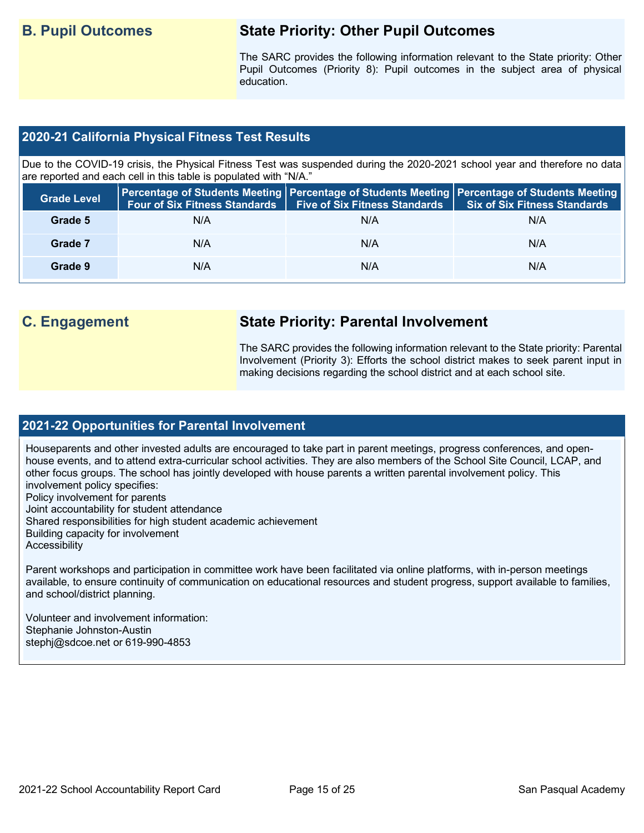## **B. Pupil Outcomes State Priority: Other Pupil Outcomes**

The SARC provides the following information relevant to the State priority: Other Pupil Outcomes (Priority 8): Pupil outcomes in the subject area of physical education.

## **2020-21 California Physical Fitness Test Results**

Due to the COVID-19 crisis, the Physical Fitness Test was suspended during the 2020-2021 school year and therefore no data are reported and each cell in this table is populated with "N/A."

| <b>Grade Level</b> |     | Four of Six Fitness Standards   Five of Six Fitness Standards | Percentage of Students Meeting   Percentage of Students Meeting   Percentage of Students Meeting  <br>Six of Six Fitness Standards |
|--------------------|-----|---------------------------------------------------------------|------------------------------------------------------------------------------------------------------------------------------------|
| Grade 5            | N/A | N/A                                                           | N/A                                                                                                                                |
| Grade 7            | N/A | N/A                                                           | N/A                                                                                                                                |
| Grade 9            | N/A | N/A                                                           | N/A                                                                                                                                |

## **C. Engagement State Priority: Parental Involvement**

The SARC provides the following information relevant to the State priority: Parental Involvement (Priority 3): Efforts the school district makes to seek parent input in making decisions regarding the school district and at each school site.

## **2021-22 Opportunities for Parental Involvement**

Houseparents and other invested adults are encouraged to take part in parent meetings, progress conferences, and openhouse events, and to attend extra-curricular school activities. They are also members of the School Site Council, LCAP, and other focus groups. The school has jointly developed with house parents a written parental involvement policy. This involvement policy specifies: Policy involvement for parents Joint accountability for student attendance Shared responsibilities for high student academic achievement Building capacity for involvement **Accessibility** 

Parent workshops and participation in committee work have been facilitated via online platforms, with in-person meetings available, to ensure continuity of communication on educational resources and student progress, support available to families, and school/district planning.

Volunteer and involvement information: Stephanie Johnston-Austin stephj@sdcoe.net or 619-990-4853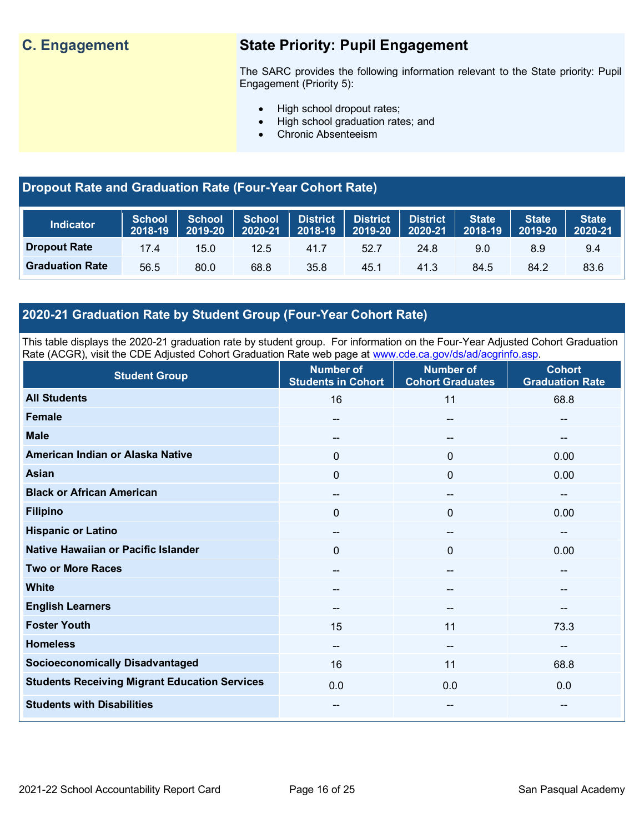## **C. Engagement State Priority: Pupil Engagement**

The SARC provides the following information relevant to the State priority: Pupil Engagement (Priority 5):

- High school dropout rates;
- High school graduation rates; and
- Chronic Absenteeism

## **Dropout Rate and Graduation Rate (Four-Year Cohort Rate)**

| <b>Indicator</b>       | <b>School</b><br>2018-19 | <b>School</b><br>2019-20 | School<br>2020-21 |      | <b>District District District</b><br>2018-19 2019-20 | 2020-21 | <b>State</b><br>2018-19 | <b>State</b><br>2019-20 | <b>State</b><br>2020-21 |
|------------------------|--------------------------|--------------------------|-------------------|------|------------------------------------------------------|---------|-------------------------|-------------------------|-------------------------|
| <b>Dropout Rate</b>    | 17.4                     | 15.0                     | 12.5              | 41.7 | 52.7                                                 | 24.8    | 9.0                     | 8.9                     | 9.4                     |
| <b>Graduation Rate</b> | 56.5                     | 80.0                     | 68.8              | 35.8 | 45.1                                                 | 41.3    | 84.5                    | 84.2                    | 83.6                    |

## **2020-21 Graduation Rate by Student Group (Four-Year Cohort Rate)**

This table displays the 2020-21 graduation rate by student group. For information on the Four-Year Adjusted Cohort Graduation Rate (ACGR), visit the CDE Adjusted Cohort Graduation Rate web page at [www.cde.ca.gov/ds/ad/acgrinfo.asp.](http://www.cde.ca.gov/ds/ad/acgrinfo.asp)

| <b>Student Group</b>                                 | <b>Number of</b><br><b>Students in Cohort</b> | <b>Number of</b><br><b>Cohort Graduates</b> | <b>Cohort</b><br><b>Graduation Rate</b> |
|------------------------------------------------------|-----------------------------------------------|---------------------------------------------|-----------------------------------------|
| <b>All Students</b>                                  | 16                                            | 11                                          | 68.8                                    |
| <b>Female</b>                                        | $\sim$                                        | $\overline{\phantom{a}}$                    | --                                      |
| <b>Male</b>                                          | $\sim$                                        | $\hspace{0.05cm}$ – $\hspace{0.05cm}$       | --                                      |
| American Indian or Alaska Native                     | 0                                             | $\mathbf{0}$                                | 0.00                                    |
| <b>Asian</b>                                         | 0                                             | $\mathbf 0$                                 | 0.00                                    |
| <b>Black or African American</b>                     | $\hspace{0.05cm}$ – $\hspace{0.05cm}$         | $\hspace{0.05cm}$ – $\hspace{0.05cm}$       | $\qquad \qquad \blacksquare$            |
| <b>Filipino</b>                                      | 0                                             | $\mathbf 0$                                 | 0.00                                    |
| <b>Hispanic or Latino</b>                            | $\overline{\phantom{a}}$                      | $\overline{\phantom{a}}$                    | $\qquad \qquad -$                       |
| Native Hawaiian or Pacific Islander                  | 0                                             | $\mathbf 0$                                 | 0.00                                    |
| <b>Two or More Races</b>                             | $\overline{\phantom{m}}$                      | $\hspace{0.05cm}$ – $\hspace{0.05cm}$       | --                                      |
| <b>White</b>                                         | $\overline{\phantom{a}}$                      | $\sim$                                      | --                                      |
| <b>English Learners</b>                              | $\sim$                                        | $\overline{\phantom{a}}$                    | --                                      |
| <b>Foster Youth</b>                                  | 15                                            | 11                                          | 73.3                                    |
| <b>Homeless</b>                                      | $\sim$                                        | $\sim$                                      | --                                      |
| <b>Socioeconomically Disadvantaged</b>               | 16                                            | 11                                          | 68.8                                    |
| <b>Students Receiving Migrant Education Services</b> | 0.0                                           | 0.0                                         | 0.0                                     |
| <b>Students with Disabilities</b>                    | $\sim$                                        | $\overline{\phantom{a}}$                    | --                                      |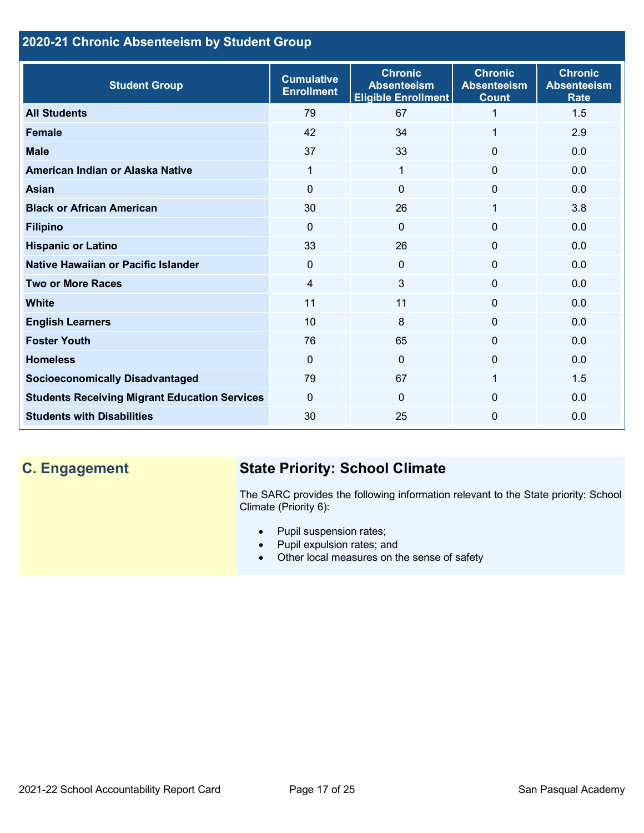## **2020-21 Chronic Absenteeism by Student Group**

| <b>Student Group</b>                                 | <b>Cumulative</b><br><b>Enrollment</b> | <b>Chronic</b><br><b>Absenteeism</b><br><b>Eligible Enrollment</b> | <b>Chronic</b><br><b>Absenteeism</b><br><b>Count</b> | <b>Chronic</b><br><b>Absenteeism</b><br><b>Rate</b> |
|------------------------------------------------------|----------------------------------------|--------------------------------------------------------------------|------------------------------------------------------|-----------------------------------------------------|
| <b>All Students</b>                                  | 79                                     | 67                                                                 |                                                      | 1.5                                                 |
| <b>Female</b>                                        | 42                                     | 34                                                                 | 1                                                    | 2.9                                                 |
| <b>Male</b>                                          | 37                                     | 33                                                                 | $\Omega$                                             | 0.0                                                 |
| American Indian or Alaska Native                     | 1                                      | 1                                                                  | 0                                                    | 0.0                                                 |
| <b>Asian</b>                                         | $\Omega$                               | $\mathbf{0}$                                                       | 0                                                    | 0.0                                                 |
| <b>Black or African American</b>                     | 30                                     | 26                                                                 | 1                                                    | 3.8                                                 |
| <b>Filipino</b>                                      | $\Omega$                               | $\mathbf 0$                                                        | 0                                                    | 0.0                                                 |
| <b>Hispanic or Latino</b>                            | 33                                     | 26                                                                 | 0                                                    | 0.0                                                 |
| Native Hawaiian or Pacific Islander                  | 0                                      | $\mathbf{0}$                                                       | 0                                                    | 0.0                                                 |
| <b>Two or More Races</b>                             | 4                                      | 3                                                                  | 0                                                    | 0.0                                                 |
| <b>White</b>                                         | 11                                     | 11                                                                 | 0                                                    | 0.0                                                 |
| <b>English Learners</b>                              | 10                                     | 8                                                                  | $\Omega$                                             | 0.0                                                 |
| <b>Foster Youth</b>                                  | 76                                     | 65                                                                 | $\Omega$                                             | 0.0                                                 |
| <b>Homeless</b>                                      | $\Omega$                               | $\mathbf 0$                                                        | $\Omega$                                             | 0.0                                                 |
| <b>Socioeconomically Disadvantaged</b>               | 79                                     | 67                                                                 |                                                      | 1.5                                                 |
| <b>Students Receiving Migrant Education Services</b> | 0                                      | $\Omega$                                                           | 0                                                    | 0.0                                                 |
| <b>Students with Disabilities</b>                    | 30                                     | 25                                                                 | $\Omega$                                             | 0.0                                                 |

## **C. Engagement State Priority: School Climate**

The SARC provides the following information relevant to the State priority: School Climate (Priority 6):

- Pupil suspension rates;
- Pupil expulsion rates; and
- Other local measures on the sense of safety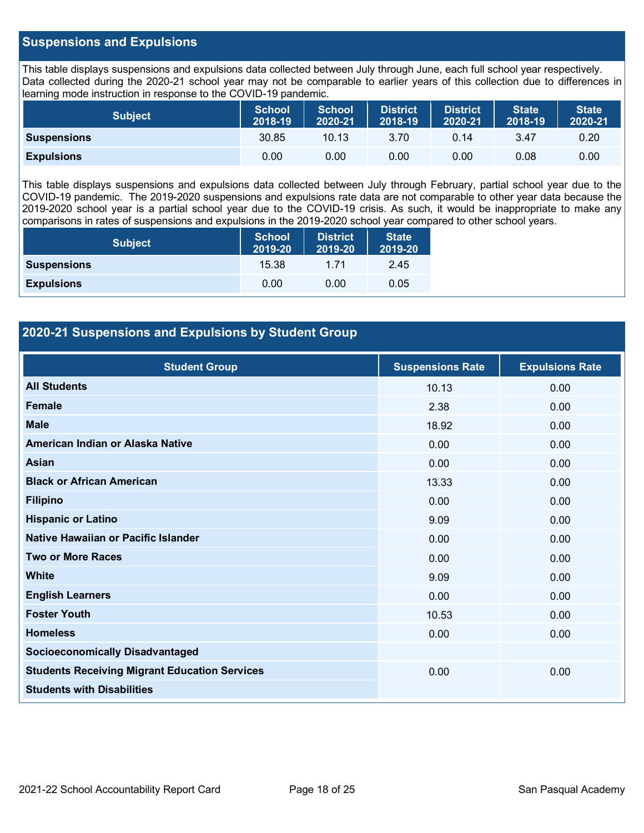## **Suspensions and Expulsions**

This table displays suspensions and expulsions data collected between July through June, each full school year respectively. Data collected during the 2020-21 school year may not be comparable to earlier years of this collection due to differences in learning mode instruction in response to the COVID-19 pandemic.

| <b>Subject</b>     | <b>School</b><br>2018-19 | <b>School</b><br>2020-21 | <b>District</b><br>2018-19 | <b>District</b><br>2020-21 | State <sup>1</sup><br>2018-19 | <b>State</b><br>2020-21 |
|--------------------|--------------------------|--------------------------|----------------------------|----------------------------|-------------------------------|-------------------------|
| <b>Suspensions</b> | 30.85                    | 10.13                    | 3.70                       | 0.14                       | 3.47                          | 0.20                    |
| <b>Expulsions</b>  | 0.00                     | 0.00                     | 0.00                       | 0.00                       | 0.08                          | 0.00                    |

This table displays suspensions and expulsions data collected between July through February, partial school year due to the COVID-19 pandemic. The 2019-2020 suspensions and expulsions rate data are not comparable to other year data because the 2019-2020 school year is a partial school year due to the COVID-19 crisis. As such, it would be inappropriate to make any comparisons in rates of suspensions and expulsions in the 2019-2020 school year compared to other school years.

| <b>Subject</b>     | <b>School</b><br>2019-20 | <b>District</b><br>2019-20 | <b>State</b><br>2019-20 |
|--------------------|--------------------------|----------------------------|-------------------------|
| <b>Suspensions</b> | 15.38                    | 1 71                       | 2.45                    |
| <b>Expulsions</b>  | 0.00                     | 0.00                       | 0.05                    |

## **2020-21 Suspensions and Expulsions by Student Group**

| <b>Student Group</b>                                 | <b>Suspensions Rate</b> | <b>Expulsions Rate</b> |
|------------------------------------------------------|-------------------------|------------------------|
| <b>All Students</b>                                  | 10.13                   | 0.00                   |
| <b>Female</b>                                        | 2.38                    | 0.00                   |
| <b>Male</b>                                          | 18.92                   | 0.00                   |
| American Indian or Alaska Native                     | 0.00                    | 0.00                   |
| <b>Asian</b>                                         | 0.00                    | 0.00                   |
| <b>Black or African American</b>                     | 13.33                   | 0.00                   |
| <b>Filipino</b>                                      | 0.00                    | 0.00                   |
| <b>Hispanic or Latino</b>                            | 9.09                    | 0.00                   |
| Native Hawaiian or Pacific Islander                  | 0.00                    | 0.00                   |
| <b>Two or More Races</b>                             | 0.00                    | 0.00                   |
| <b>White</b>                                         | 9.09                    | 0.00                   |
| <b>English Learners</b>                              | 0.00                    | 0.00                   |
| <b>Foster Youth</b>                                  | 10.53                   | 0.00                   |
| <b>Homeless</b>                                      | 0.00                    | 0.00                   |
| <b>Socioeconomically Disadvantaged</b>               |                         |                        |
| <b>Students Receiving Migrant Education Services</b> | 0.00                    | 0.00                   |
| <b>Students with Disabilities</b>                    |                         |                        |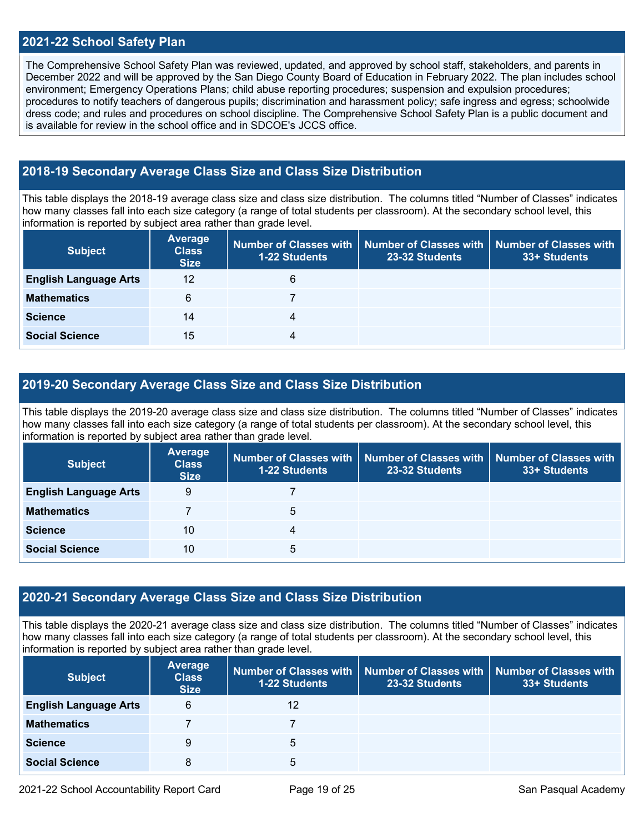## **2021-22 School Safety Plan**

The Comprehensive School Safety Plan was reviewed, updated, and approved by school staff, stakeholders, and parents in December 2022 and will be approved by the San Diego County Board of Education in February 2022. The plan includes school environment; Emergency Operations Plans; child abuse reporting procedures; suspension and expulsion procedures; procedures to notify teachers of dangerous pupils; discrimination and harassment policy; safe ingress and egress; schoolwide dress code; and rules and procedures on school discipline. The Comprehensive School Safety Plan is a public document and is available for review in the school office and in  $SDCOE$ 's JCCS office.

## **2018-19 Secondary Average Class Size and Class Size Distribution**

This table displays the 2018-19 average class size and class size distribution. The columns titled "Number of Classes" indicates how many classes fall into each size category (a range of total students per classroom). At the secondary school level, this information is reported by subject area rather than grade level.

| <b>Subject</b>               | <b>Average</b><br><b>Class</b><br><b>Size</b> | 1-22 Students | Number of Classes with   Number of Classes with<br>23-32 Students | <b>Number of Classes with</b><br>33+ Students |
|------------------------------|-----------------------------------------------|---------------|-------------------------------------------------------------------|-----------------------------------------------|
| <b>English Language Arts</b> | 12                                            | 6             |                                                                   |                                               |
| <b>Mathematics</b>           | 6                                             |               |                                                                   |                                               |
| <b>Science</b>               | 14                                            | 4             |                                                                   |                                               |
| <b>Social Science</b>        | 15                                            | 4             |                                                                   |                                               |

## **2019-20 Secondary Average Class Size and Class Size Distribution**

This table displays the 2019-20 average class size and class size distribution. The columns titled "Number of Classes" indicates how many classes fall into each size category (a range of total students per classroom). At the secondary school level, this information is reported by subject area rather than grade level.

| <b>Subject</b>               | <b>Average</b><br><b>Class</b><br><b>Size</b> | 1-22 Students | Number of Classes with   Number of Classes with<br>23-32 Students | <b>Number of Classes with</b><br>33+ Students |
|------------------------------|-----------------------------------------------|---------------|-------------------------------------------------------------------|-----------------------------------------------|
| <b>English Language Arts</b> | 9                                             |               |                                                                   |                                               |
| <b>Mathematics</b>           |                                               | 5             |                                                                   |                                               |
| <b>Science</b>               | 10                                            | 4             |                                                                   |                                               |
| <b>Social Science</b>        | 10                                            | 5             |                                                                   |                                               |

## **2020-21 Secondary Average Class Size and Class Size Distribution**

This table displays the 2020-21 average class size and class size distribution. The columns titled "Number of Classes" indicates how many classes fall into each size category (a range of total students per classroom). At the secondary school level, this information is reported by subject area rather than grade level.

| <b>Subject</b>               | <b>Average</b><br><b>Class</b><br><b>Size</b> | <b>1-22 Students</b> | Number of Classes with   Number of Classes with   Number of Classes with<br>23-32 Students | 33+ Students |
|------------------------------|-----------------------------------------------|----------------------|--------------------------------------------------------------------------------------------|--------------|
| <b>English Language Arts</b> | 6                                             | 12                   |                                                                                            |              |
| <b>Mathematics</b>           |                                               |                      |                                                                                            |              |
| <b>Science</b>               | 9                                             | 5                    |                                                                                            |              |
| <b>Social Science</b>        | 8                                             | 5                    |                                                                                            |              |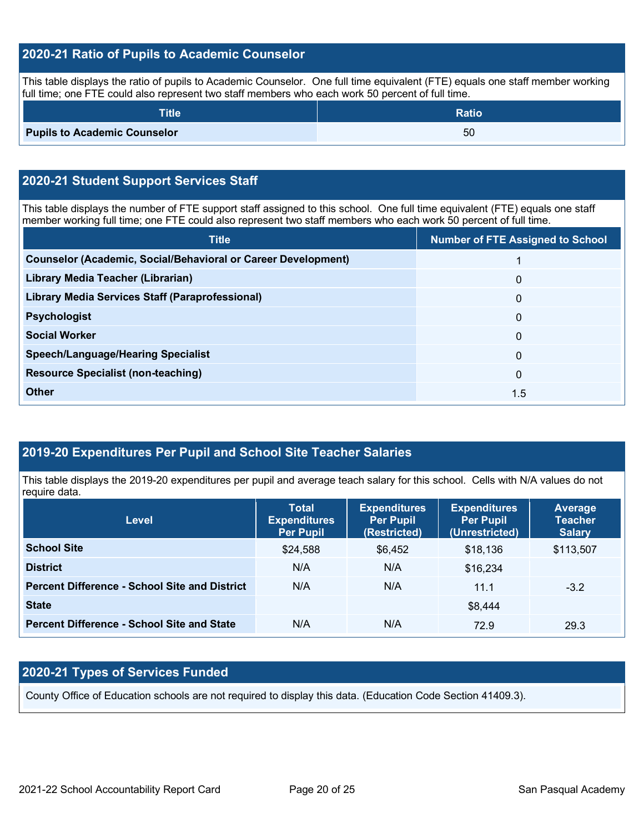## **2020-21 Ratio of Pupils to Academic Counselor**

This table displays the ratio of pupils to Academic Counselor. One full time equivalent (FTE) equals one staff member working full time; one FTE could also represent two staff members who each work 50 percent of full time.

| <b>Title</b>                        | <b>Ratio</b> |
|-------------------------------------|--------------|
| <b>Pupils to Academic Counselor</b> | 50           |

## **2020-21 Student Support Services Staff**

This table displays the number of FTE support staff assigned to this school. One full time equivalent (FTE) equals one staff member working full time; one FTE could also represent two staff members who each work 50 percent of full time.

| <b>Title</b>                                                         | <b>Number of FTE Assigned to School</b> |
|----------------------------------------------------------------------|-----------------------------------------|
| <b>Counselor (Academic, Social/Behavioral or Career Development)</b> |                                         |
| Library Media Teacher (Librarian)                                    | $\mathbf{0}$                            |
| <b>Library Media Services Staff (Paraprofessional)</b>               | $\mathbf{0}$                            |
| <b>Psychologist</b>                                                  | $\mathbf 0$                             |
| <b>Social Worker</b>                                                 | $\mathbf 0$                             |
| <b>Speech/Language/Hearing Specialist</b>                            | $\mathbf{0}$                            |
| <b>Resource Specialist (non-teaching)</b>                            | $\mathbf{0}$                            |
| <b>Other</b>                                                         | 1.5                                     |

## **2019-20 Expenditures Per Pupil and School Site Teacher Salaries**

This table displays the 2019-20 expenditures per pupil and average teach salary for this school. Cells with N/A values do not require data.

| <b>Level</b>                                         | <b>Total</b><br><b>Expenditures</b><br><b>Per Pupil</b> | <b>Expenditures</b><br><b>Per Pupil</b><br>(Restricted) | <b>Expenditures</b><br><b>Per Pupil</b><br>(Unrestricted) | <b>Average</b><br><b>Teacher</b><br><b>Salary</b> |
|------------------------------------------------------|---------------------------------------------------------|---------------------------------------------------------|-----------------------------------------------------------|---------------------------------------------------|
| <b>School Site</b>                                   | \$24,588                                                | \$6,452                                                 | \$18,136                                                  | \$113,507                                         |
| <b>District</b>                                      | N/A                                                     | N/A                                                     | \$16,234                                                  |                                                   |
| <b>Percent Difference - School Site and District</b> | N/A                                                     | N/A                                                     | 11.1                                                      | $-3.2$                                            |
| <b>State</b>                                         |                                                         |                                                         | \$8,444                                                   |                                                   |
| <b>Percent Difference - School Site and State</b>    | N/A                                                     | N/A                                                     | 72.9                                                      | 29.3                                              |

## **2020-21 Types of Services Funded**

County Office of Education schools are not required to display this data. (Education Code Section 41409.3).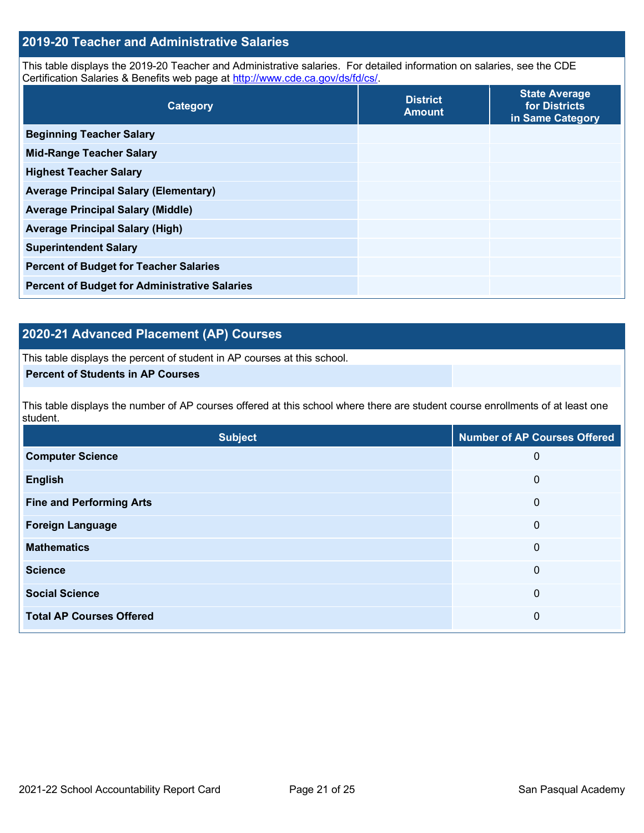## **2019-20 Teacher and Administrative Salaries**

This table displays the 2019-20 Teacher and Administrative salaries. For detailed information on salaries, see the CDE Certification Salaries & Benefits web page at [http://www.cde.ca.gov/ds/fd/cs/.](http://www.cde.ca.gov/ds/fd/cs/)

| Category                                             | <b>District</b><br><b>Amount</b> | <b>State Average</b><br>for Districts<br>in Same Category |
|------------------------------------------------------|----------------------------------|-----------------------------------------------------------|
| <b>Beginning Teacher Salary</b>                      |                                  |                                                           |
| <b>Mid-Range Teacher Salary</b>                      |                                  |                                                           |
| <b>Highest Teacher Salary</b>                        |                                  |                                                           |
| <b>Average Principal Salary (Elementary)</b>         |                                  |                                                           |
| <b>Average Principal Salary (Middle)</b>             |                                  |                                                           |
| <b>Average Principal Salary (High)</b>               |                                  |                                                           |
| <b>Superintendent Salary</b>                         |                                  |                                                           |
| <b>Percent of Budget for Teacher Salaries</b>        |                                  |                                                           |
| <b>Percent of Budget for Administrative Salaries</b> |                                  |                                                           |

## **2020-21 Advanced Placement (AP) Courses**

This table displays the percent of student in AP courses at this school.

## **Percent of Students in AP Courses**

This table displays the number of AP courses offered at this school where there are student course enrollments of at least one student.

| <b>Subject</b>                  | <b>Number of AP Courses Offered</b> |
|---------------------------------|-------------------------------------|
| <b>Computer Science</b>         | 0                                   |
| <b>English</b>                  | 0                                   |
| <b>Fine and Performing Arts</b> | 0                                   |
| <b>Foreign Language</b>         | 0                                   |
| <b>Mathematics</b>              | 0                                   |
| <b>Science</b>                  | 0                                   |
| <b>Social Science</b>           | 0                                   |
| <b>Total AP Courses Offered</b> | 0                                   |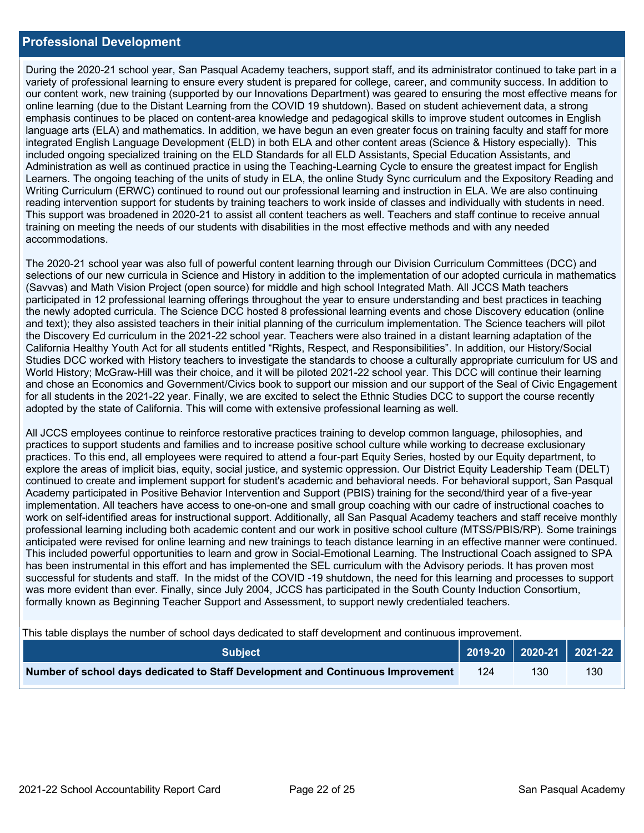### **Professional Development**

During the 2020-21 school year, San Pasqual Academy teachers, support staff, and its administrator continued to take part in a variety of professional learning to ensure every student is prepared for college, career, and community success. In addition to our content work, new training (supported by our Innovations Department) was geared to ensuring the most effective means for online learning (due to the Distant Learning from the COVID 19 shutdown). Based on student achievement data, a strong emphasis continues to be placed on content-area knowledge and pedagogical skills to improve student outcomes in English language arts (ELA) and mathematics. In addition, we have begun an even greater focus on training faculty and staff for more integrated English Language Development (ELD) in both ELA and other content areas (Science & History especially). This included ongoing specialized training on the ELD Standards for all ELD Assistants, Special Education Assistants, and Administration as well as continued practice in using the Teaching-Learning Cycle to ensure the greatest impact for English Learners. The ongoing teaching of the units of study in ELA, the online Study Sync curriculum and the Expository Reading and Writing Curriculum (ERWC) continued to round out our professional learning and instruction in ELA. We are also continuing reading intervention support for students by training teachers to work inside of classes and individually with students in need. This support was broadened in 2020-21 to assist all content teachers as well. Teachers and staff continue to receive annual training on meeting the needs of our students with disabilities in the most effective methods and with any needed accommodations.

The 2020-21 school year was also full of powerful content learning through our Division Curriculum Committees (DCC) and selections of our new curricula in Science and History in addition to the implementation of our adopted curricula in mathematics (Savvas) and Math Vision Project (open source) for middle and high school Integrated Math. All JCCS Math teachers participated in 12 professional learning offerings throughout the year to ensure understanding and best practices in teaching the newly adopted curricula. The Science DCC hosted 8 professional learning events and chose Discovery education (online and text); they also assisted teachers in their initial planning of the curriculum implementation. The Science teachers will pilot the Discovery Ed curriculum in the 2021-22 school year. Teachers were also trained in a distant learning adaptation of the California Healthy Youth Act for all students entitled "Rights, Respect, and Responsibilities". In addition, our History/Social Studies DCC worked with History teachers to investigate the standards to choose a culturally appropriate curriculum for US and World History; McGraw-Hill was their choice, and it will be piloted 2021-22 school year. This DCC will continue their learning and chose an Economics and Government/Civics book to support our mission and our support of the Seal of Civic Engagement for all students in the 2021-22 year. Finally, we are excited to select the Ethnic Studies DCC to support the course recently adopted by the state of California. This will come with extensive professional learning as well.

All JCCS employees continue to reinforce restorative practices training to develop common language, philosophies, and practices to support students and families and to increase positive school culture while working to decrease exclusionary practices. To this end, all employees were required to attend a four-part Equity Series, hosted by our Equity department, to explore the areas of implicit bias, equity, social justice, and systemic oppression. Our District Equity Leadership Team (DELT) continued to create and implement support for student's academic and behavioral needs. For behavioral support, San Pasqual Academy participated in Positive Behavior Intervention and Support (PBIS) training for the second/third year of a five-year implementation. All teachers have access to one-on-one and small group coaching with our cadre of instructional coaches to work on self-identified areas for instructional support. Additionally, all San Pasqual Academy teachers and staff receive monthly professional learning including both academic content and our work in positive school culture (MTSS/PBIS/RP). Some trainings anticipated were revised for online learning and new trainings to teach distance learning in an effective manner were continued. This included powerful opportunities to learn and grow in Social-Emotional Learning. The Instructional Coach assigned to SPA has been instrumental in this effort and has implemented the SEL curriculum with the Advisory periods. It has proven most successful for students and staff. In the midst of the COVID -19 shutdown, the need for this learning and processes to support was more evident than ever. Finally, since July 2004, JCCS has participated in the South County Induction Consortium, formally known as Beginning Teacher Support and Assessment, to support newly credentialed teachers.

This table displays the number of school days dedicated to staff development and continuous improvement.

| <b>Subject</b>                                                                  |  |     |                  |
|---------------------------------------------------------------------------------|--|-----|------------------|
| Number of school days dedicated to Staff Development and Continuous Improvement |  | 130 | 130 <sub>1</sub> |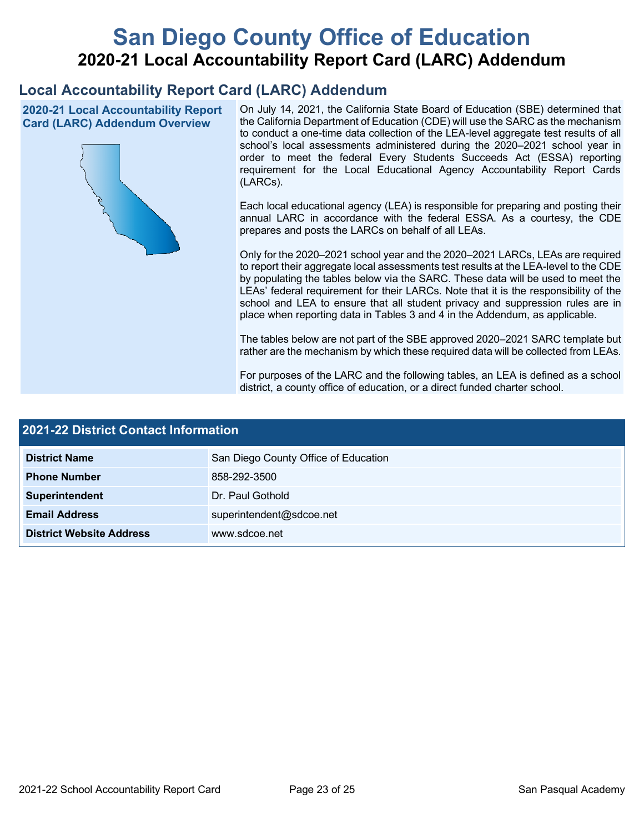# **San Diego County Office of Education 2020-21 Local Accountability Report Card (LARC) Addendum**

## **Local Accountability Report Card (LARC) Addendum**

**2020-21 Local Accountability Report Card (LARC) Addendum Overview**



On July 14, 2021, the California State Board of Education (SBE) determined that the California Department of Education (CDE) will use the SARC as the mechanism to conduct a one-time data collection of the LEA-level aggregate test results of all school's local assessments administered during the 2020–2021 school year in order to meet the federal Every Students Succeeds Act (ESSA) reporting requirement for the Local Educational Agency Accountability Report Cards (LARCs).

Each local educational agency (LEA) is responsible for preparing and posting their annual LARC in accordance with the federal ESSA. As a courtesy, the CDE prepares and posts the LARCs on behalf of all LEAs.

Only for the 2020–2021 school year and the 2020–2021 LARCs, LEAs are required to report their aggregate local assessments test results at the LEA-level to the CDE by populating the tables below via the SARC. These data will be used to meet the LEAs' federal requirement for their LARCs. Note that it is the responsibility of the school and LEA to ensure that all student privacy and suppression rules are in place when reporting data in Tables 3 and 4 in the Addendum, as applicable.

The tables below are not part of the SBE approved 2020–2021 SARC template but rather are the mechanism by which these required data will be collected from LEAs.

For purposes of the LARC and the following tables, an LEA is defined as a school district, a county office of education, or a direct funded charter school.

| 2021-22 District Contact Information |                                      |  |  |  |
|--------------------------------------|--------------------------------------|--|--|--|
| <b>District Name</b>                 | San Diego County Office of Education |  |  |  |
| <b>Phone Number</b>                  | 858-292-3500                         |  |  |  |
| Superintendent                       | Dr. Paul Gothold                     |  |  |  |
| <b>Email Address</b>                 | superintendent@sdcoe.net             |  |  |  |
| <b>District Website Address</b>      | www.sdcoe.net                        |  |  |  |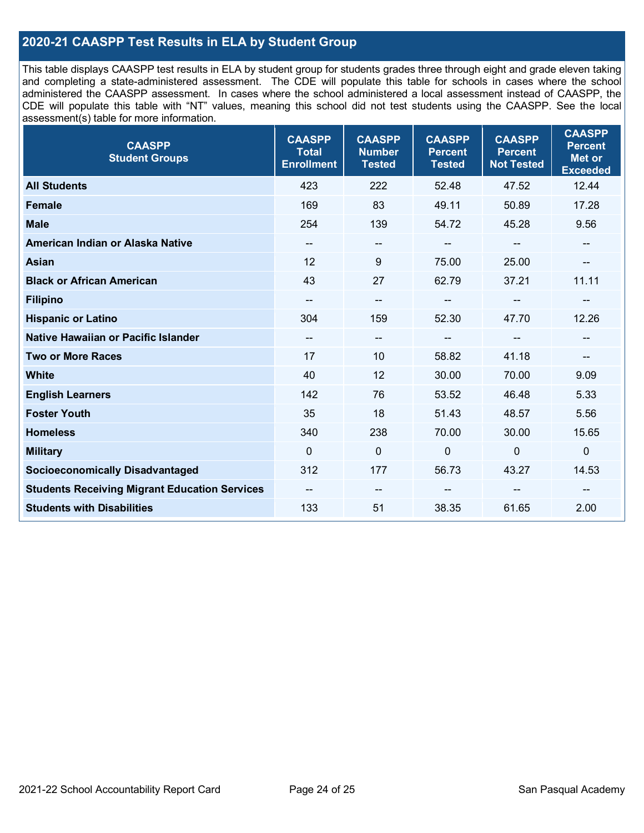## **2020-21 CAASPP Test Results in ELA by Student Group**

This table displays CAASPP test results in ELA by student group for students grades three through eight and grade eleven taking and completing a state-administered assessment. The CDE will populate this table for schools in cases where the school administered the CAASPP assessment. In cases where the school administered a local assessment instead of CAASPP, the CDE will populate this table with "NT" values, meaning this school did not test students using the CAASPP. See the local assessment(s) table for more information.

| <b>CAASPP</b><br><b>Student Groups</b>               | <b>CAASPP</b><br><b>Total</b><br><b>Enrollment</b> | <b>CAASPP</b><br><b>Number</b><br><b>Tested</b> | <b>CAASPP</b><br><b>Percent</b><br><b>Tested</b> | <b>CAASPP</b><br><b>Percent</b><br><b>Not Tested</b> | <b>CAASPP</b><br><b>Percent</b><br><b>Met or</b><br><b>Exceeded</b> |
|------------------------------------------------------|----------------------------------------------------|-------------------------------------------------|--------------------------------------------------|------------------------------------------------------|---------------------------------------------------------------------|
| <b>All Students</b>                                  | 423                                                | 222                                             | 52.48                                            | 47.52                                                | 12.44                                                               |
| <b>Female</b>                                        | 169                                                | 83                                              | 49.11                                            | 50.89                                                | 17.28                                                               |
| <b>Male</b>                                          | 254                                                | 139                                             | 54.72                                            | 45.28                                                | 9.56                                                                |
| American Indian or Alaska Native                     | --                                                 | $\overline{\phantom{m}}$                        | --                                               | $\overline{\phantom{a}}$                             | --                                                                  |
| <b>Asian</b>                                         | 12                                                 | 9                                               | 75.00                                            | 25.00                                                |                                                                     |
| <b>Black or African American</b>                     | 43                                                 | 27                                              | 62.79                                            | 37.21                                                | 11.11                                                               |
| <b>Filipino</b>                                      |                                                    | $\overline{\phantom{m}}$                        |                                                  | $\mathbf{u}$                                         |                                                                     |
| <b>Hispanic or Latino</b>                            | 304                                                | 159                                             | 52.30                                            | 47.70                                                | 12.26                                                               |
| <b>Native Hawaiian or Pacific Islander</b>           | --                                                 | $\overline{\phantom{a}}$                        | --                                               | $\overline{\phantom{a}}$                             | --                                                                  |
| <b>Two or More Races</b>                             | 17                                                 | 10                                              | 58.82                                            | 41.18                                                | --                                                                  |
| <b>White</b>                                         | 40                                                 | 12                                              | 30.00                                            | 70.00                                                | 9.09                                                                |
| <b>English Learners</b>                              | 142                                                | 76                                              | 53.52                                            | 46.48                                                | 5.33                                                                |
| <b>Foster Youth</b>                                  | 35                                                 | 18                                              | 51.43                                            | 48.57                                                | 5.56                                                                |
| <b>Homeless</b>                                      | 340                                                | 238                                             | 70.00                                            | 30.00                                                | 15.65                                                               |
| <b>Military</b>                                      | $\mathbf{0}$                                       | $\mathbf 0$                                     | $\mathbf 0$                                      | $\mathbf 0$                                          | 0                                                                   |
| <b>Socioeconomically Disadvantaged</b>               | 312                                                | 177                                             | 56.73                                            | 43.27                                                | 14.53                                                               |
| <b>Students Receiving Migrant Education Services</b> | $\overline{\phantom{a}}$                           | $\overline{\phantom{a}}$                        | --                                               |                                                      |                                                                     |
| <b>Students with Disabilities</b>                    | 133                                                | 51                                              | 38.35                                            | 61.65                                                | 2.00                                                                |